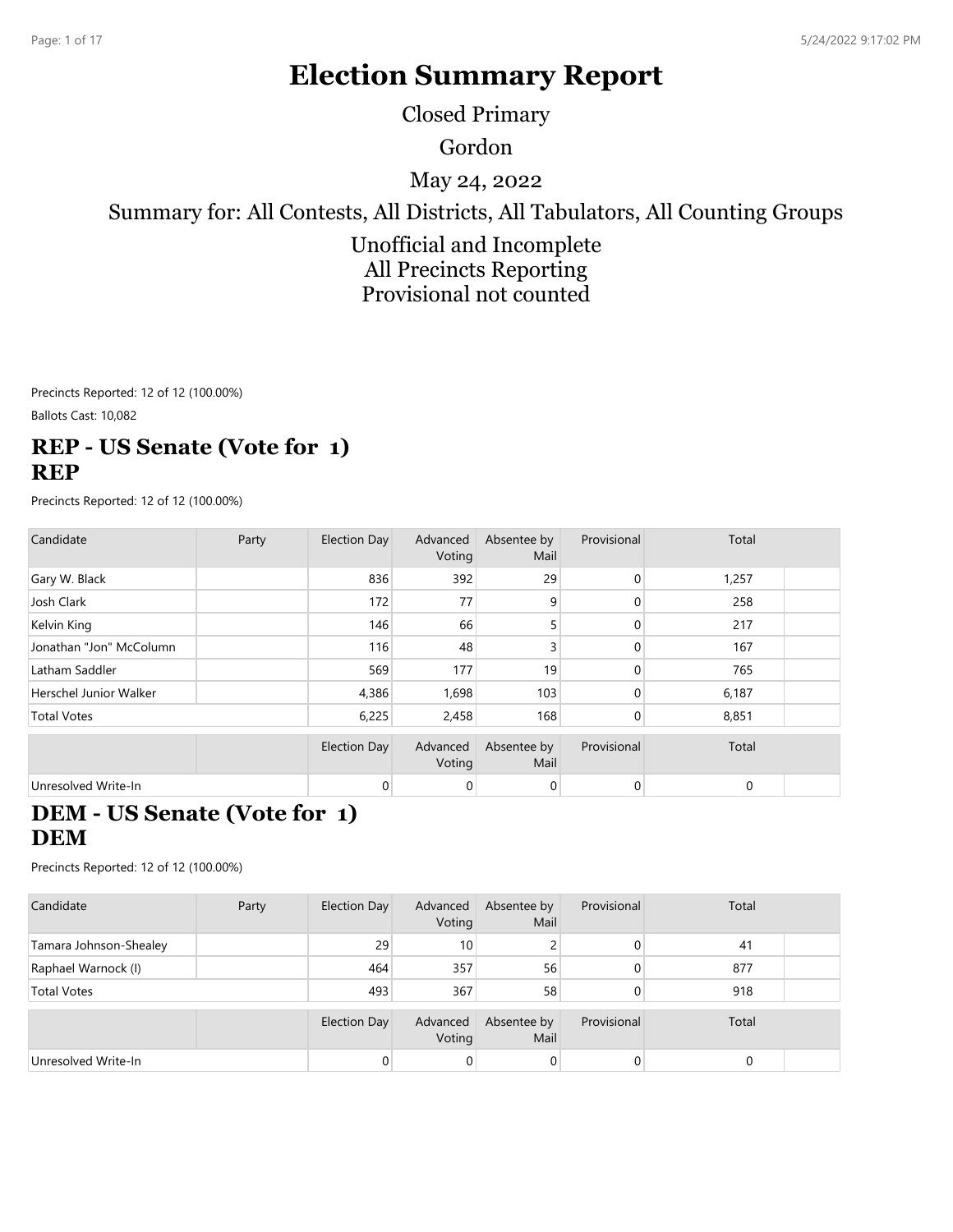# **Election Summary Report**

Closed Primary

Gordon

May 24, 2022

Summary for: All Contests, All Districts, All Tabulators, All Counting Groups

Unofficial and Incomplete All Precincts Reporting Provisional not counted

Precincts Reported: 12 of 12 (100.00%)

Ballots Cast: 10,082

## **REP - US Senate (Vote for 1) REP**

Precincts Reported: 12 of 12 (100.00%)

| Candidate                     | Party | Election Day | Advanced<br>Voting | Absentee by<br>Mail | Provisional    | Total |  |
|-------------------------------|-------|--------------|--------------------|---------------------|----------------|-------|--|
| Gary W. Black                 |       | 836          | 392                | 29                  | $\mathbf{0}$   | 1,257 |  |
| Josh Clark                    |       | 172          | 77                 | 9                   | $\mathbf{0}$   | 258   |  |
| Kelvin King                   |       | 146          | 66                 | 5                   | $\mathbf{0}$   | 217   |  |
| Jonathan "Jon" McColumn       |       | 116          | 48                 | 3                   | 0              | 167   |  |
| Latham Saddler                |       | 569          | 177                | 19                  | $\mathbf{0}$   | 765   |  |
| <b>Herschel Junior Walker</b> |       | 4,386        | 1,698              | 103                 | $\mathbf{0}$   | 6,187 |  |
| <b>Total Votes</b>            |       | 6,225        | 2,458              | 168                 | $\mathbf{0}$   | 8,851 |  |
|                               |       | Election Day | Advanced<br>Voting | Absentee by<br>Mail | Provisional    | Total |  |
| Unresolved Write-In           |       | 0            | 0                  | 0                   | $\overline{0}$ | 0     |  |

#### **DEM - US Senate (Vote for 1) DEM**

| Candidate              | Party | Election Day        | Advanced<br>Voting | Absentee by<br>Mail | Provisional | Total |  |
|------------------------|-------|---------------------|--------------------|---------------------|-------------|-------|--|
| Tamara Johnson-Shealey |       | 29                  | 10 <sup>°</sup>    |                     | 0           | 41    |  |
| Raphael Warnock (I)    |       | 464                 | 357                | 56                  | 0           | 877   |  |
| <b>Total Votes</b>     |       | 493                 | 367                | 58                  | 0           | 918   |  |
|                        |       | <b>Election Day</b> | Advanced<br>Voting | Absentee by<br>Mail | Provisional | Total |  |
| Unresolved Write-In    |       |                     | $\overline{0}$     | $\overline{0}$      | 0           |       |  |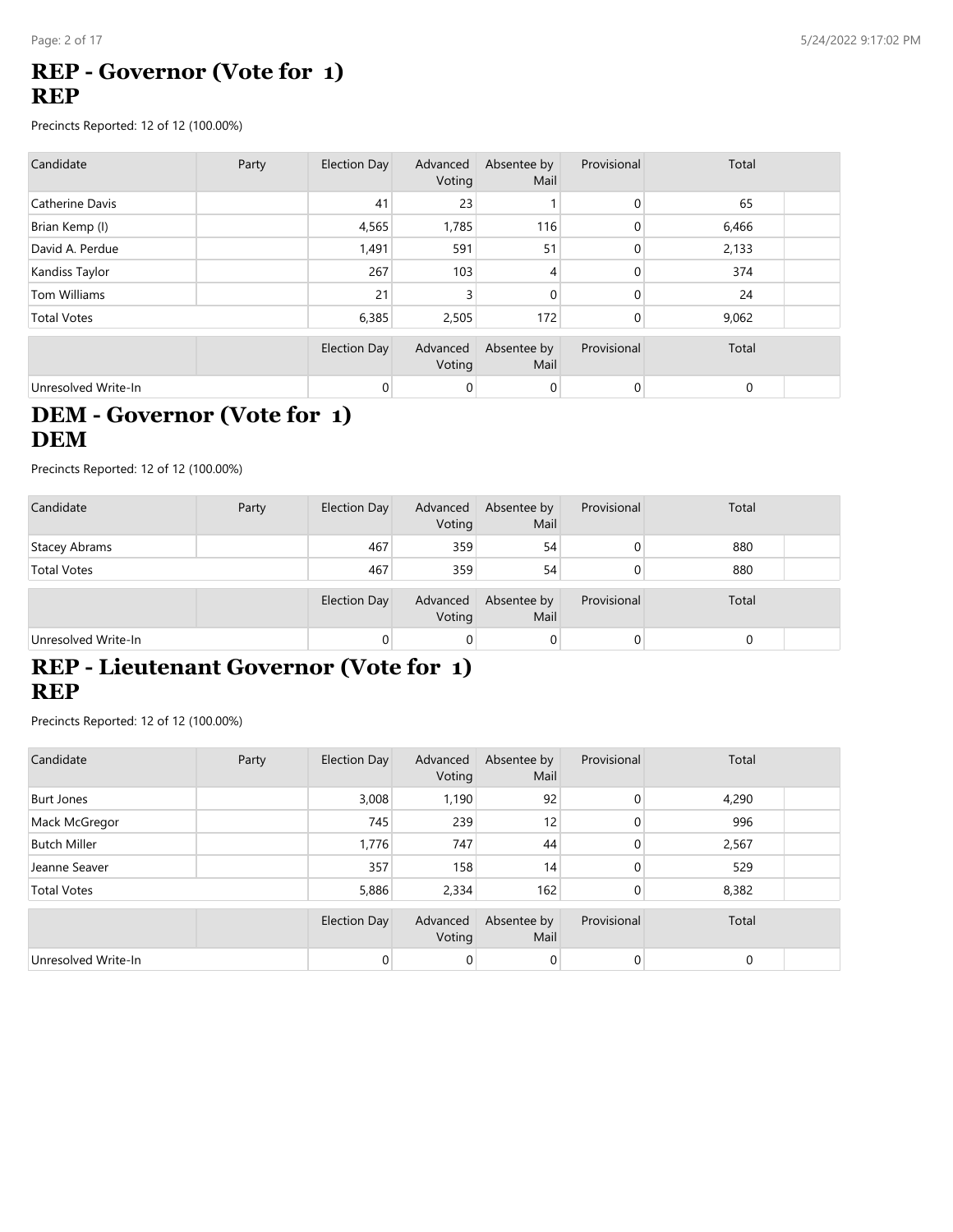# **REP - Governor (Vote for 1) REP**

Precincts Reported: 12 of 12 (100.00%)

| Candidate           | Party | Election Day | Advanced<br>Voting | Absentee by<br>Mail | Provisional | Total |  |
|---------------------|-------|--------------|--------------------|---------------------|-------------|-------|--|
| Catherine Davis     |       | 41           | 23                 |                     | $\mathbf 0$ | 65    |  |
| Brian Kemp (I)      |       | 4,565        | 1,785              | 116                 | $\mathbf 0$ | 6,466 |  |
| David A. Perdue     |       | 1,491        | 591                | 51                  | $\Omega$    | 2,133 |  |
| Kandiss Taylor      |       | 267          | 103                | 4                   | $\Omega$    | 374   |  |
| Tom Williams        |       | 21           | 3                  | 0                   | $\Omega$    | 24    |  |
| <b>Total Votes</b>  |       | 6,385        | 2,505              | 172                 | $\mathbf 0$ | 9,062 |  |
|                     |       | Election Day | Advanced<br>Voting | Absentee by<br>Mail | Provisional | Total |  |
| Unresolved Write-In |       | $\mathbf 0$  | 0                  | 0                   | 0           | 0     |  |

# **DEM - Governor (Vote for 1) DEM**

Precincts Reported: 12 of 12 (100.00%)

| Candidate           | Party | Election Day        | Advanced<br>Voting | Absentee by<br>Mail | Provisional | Total |  |
|---------------------|-------|---------------------|--------------------|---------------------|-------------|-------|--|
| Stacey Abrams       |       | 467                 | 359                | 54                  | 0           | 880   |  |
| <b>Total Votes</b>  |       | 467                 | 359                | 54                  |             | 880   |  |
|                     |       | <b>Election Day</b> | Advanced<br>Voting | Absentee by<br>Mail | Provisional | Total |  |
| Unresolved Write-In |       | 0                   | 0                  | 0                   | 0           | 0     |  |

# **REP - Lieutenant Governor (Vote for 1) REP**

| Candidate           | Party | Election Day   | Advanced<br>Voting | Absentee by<br>Mail | Provisional  | Total       |  |
|---------------------|-------|----------------|--------------------|---------------------|--------------|-------------|--|
| <b>Burt Jones</b>   |       | 3,008          | 1,190              | 92                  | $\mathbf{0}$ | 4,290       |  |
| Mack McGregor       |       | 745            | 239                | 12                  | $\mathbf{0}$ | 996         |  |
| <b>Butch Miller</b> |       | 1,776          | 747                | 44                  | $\mathbf{0}$ | 2,567       |  |
| Jeanne Seaver       |       | 357            | 158                | 14                  | $\Omega$     | 529         |  |
| <b>Total Votes</b>  |       | 5,886          | 2,334              | 162                 | 0            | 8,382       |  |
|                     |       | Election Day   | Advanced<br>Voting | Absentee by<br>Mail | Provisional  | Total       |  |
| Unresolved Write-In |       | $\overline{0}$ | 0                  | 0                   | $\mathbf 0$  | $\mathbf 0$ |  |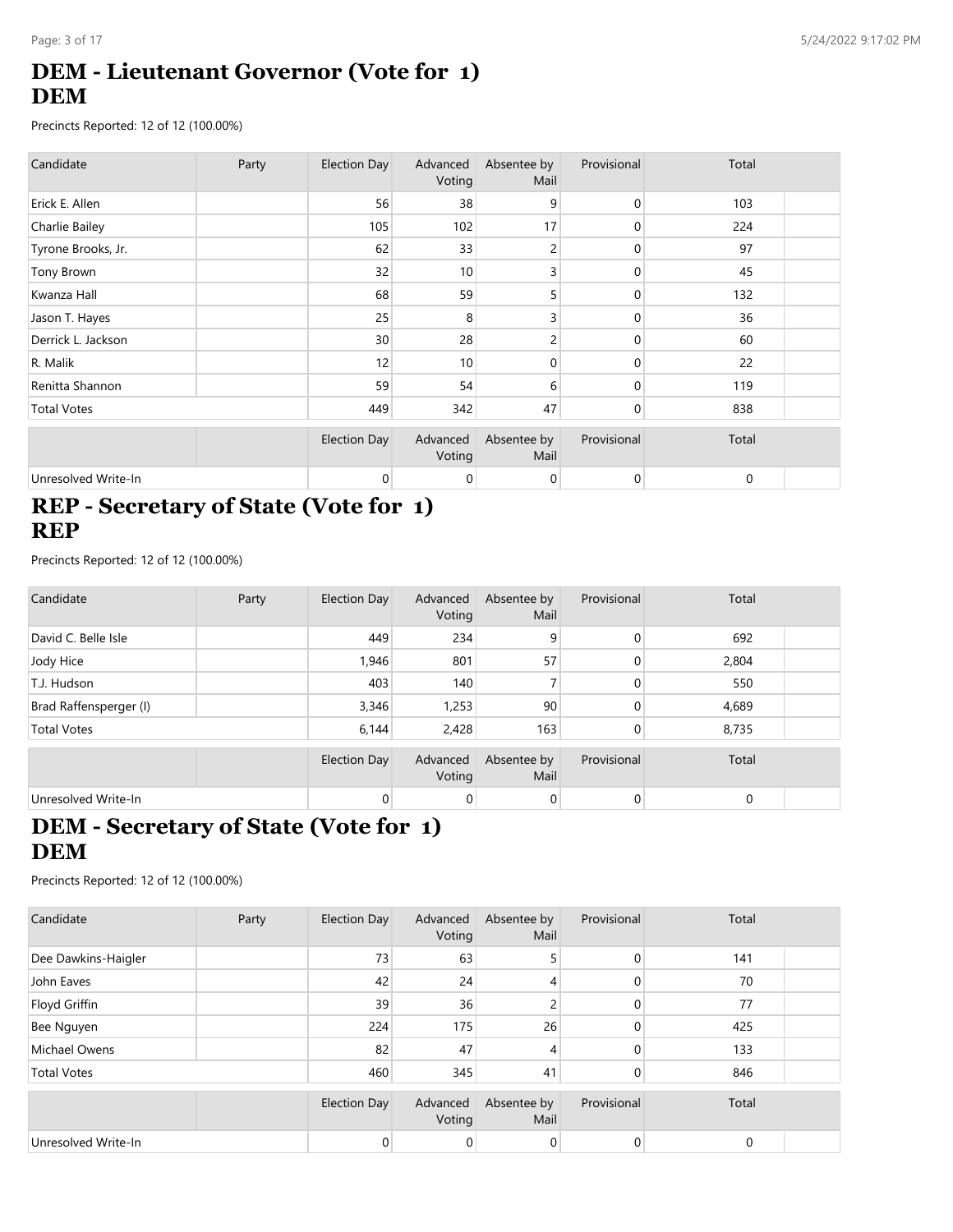# **DEM - Lieutenant Governor (Vote for 1) DEM**

Precincts Reported: 12 of 12 (100.00%)

| Candidate           | Party | Election Day        | Advanced<br>Voting | Absentee by<br>Mail | Provisional  | Total       |  |
|---------------------|-------|---------------------|--------------------|---------------------|--------------|-------------|--|
| Erick E. Allen      |       | 56                  | 38                 | 9                   | $\mathbf{0}$ | 103         |  |
| Charlie Bailey      |       | 105                 | 102                | 17                  | 0            | 224         |  |
| Tyrone Brooks, Jr.  |       | 62                  | 33                 | 2                   | 0            | 97          |  |
| Tony Brown          |       | 32                  | 10                 | 3                   | $\mathbf{0}$ | 45          |  |
| Kwanza Hall         |       | 68                  | 59                 | 5                   | 0            | 132         |  |
| Jason T. Hayes      |       | 25                  | 8                  | 3                   | 0            | 36          |  |
| Derrick L. Jackson  |       | 30                  | 28                 | 2                   | 0            | 60          |  |
| R. Malik            |       | 12                  | 10                 | 0                   | $\Omega$     | 22          |  |
| Renitta Shannon     |       | 59                  | 54                 | 6                   | 0            | 119         |  |
| <b>Total Votes</b>  |       | 449                 | 342                | 47                  | $\mathbf 0$  | 838         |  |
|                     |       | <b>Election Day</b> | Advanced<br>Voting | Absentee by<br>Mail | Provisional  | Total       |  |
| Unresolved Write-In |       | 0                   | 0                  | 0                   | $\mathbf 0$  | $\mathbf 0$ |  |

#### **REP - Secretary of State (Vote for 1) REP**

Precincts Reported: 12 of 12 (100.00%)

| Candidate              | Party | Election Day        | Advanced<br>Voting | Absentee by<br>Mail | Provisional | Total |  |
|------------------------|-------|---------------------|--------------------|---------------------|-------------|-------|--|
| David C. Belle Isle    |       | 449                 | 234                | 9                   | 0           | 692   |  |
| Jody Hice              |       | 1,946               | 801                | 57                  | 0           | 2,804 |  |
| T.J. Hudson            |       | 403                 | 140                |                     | 0           | 550   |  |
| Brad Raffensperger (I) |       | 3,346               | 1,253              | 90                  | 0           | 4,689 |  |
| <b>Total Votes</b>     |       | 6,144               | 2,428              | 163                 | 0           | 8,735 |  |
|                        |       | <b>Election Day</b> | Advanced<br>Voting | Absentee by<br>Mail | Provisional | Total |  |
| Unresolved Write-In    |       | 0                   | 0                  | 0                   | 0           | 0     |  |

## **DEM - Secretary of State (Vote for 1) DEM**

| Candidate           | Party | <b>Election Day</b> | Advanced<br>Voting | Absentee by<br>Mail | Provisional | Total |  |
|---------------------|-------|---------------------|--------------------|---------------------|-------------|-------|--|
| Dee Dawkins-Haigler |       | 73                  | 63                 | 5                   | 0           | 141   |  |
| John Eaves          |       | 42                  | 24                 | 4                   |             | 70    |  |
| Floyd Griffin       |       | 39                  | 36                 | $\overline{c}$      | 0           | 77    |  |
| Bee Nguyen          |       | 224                 | 175                | 26                  | 0           | 425   |  |
| Michael Owens       |       | 82                  | 47                 | 4                   | 0           | 133   |  |
| <b>Total Votes</b>  |       | 460                 | 345                | 41                  | 0           | 846   |  |
|                     |       | <b>Election Day</b> | Advanced<br>Voting | Absentee by<br>Mail | Provisional | Total |  |
| Unresolved Write-In |       |                     | 0                  | 0                   | 0           | 0     |  |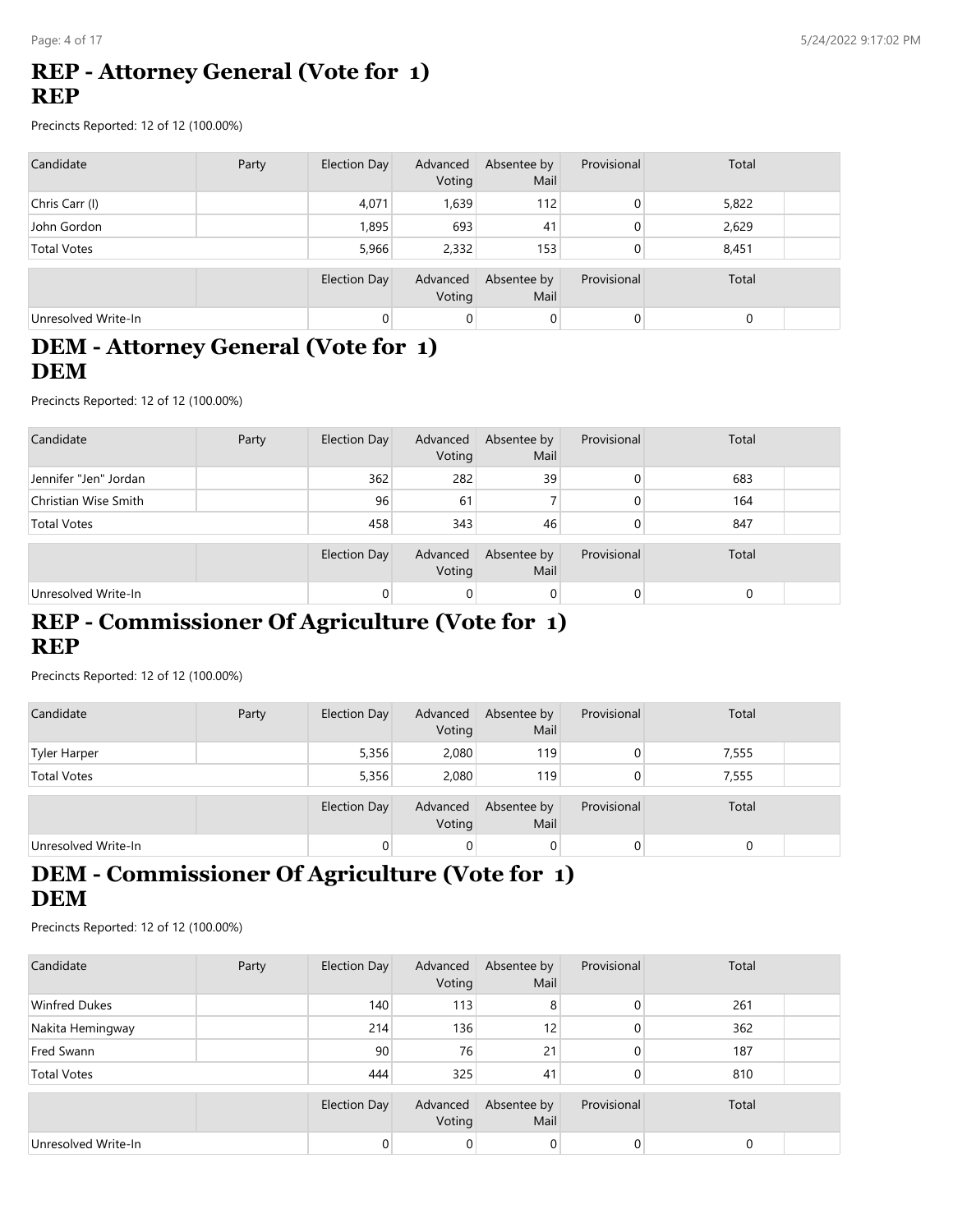### **REP - Attorney General (Vote for 1) REP**

Precincts Reported: 12 of 12 (100.00%)

| Candidate           | Party | Election Day | Advanced<br>Voting | Absentee by<br>Mail | Provisional    | Total |  |
|---------------------|-------|--------------|--------------------|---------------------|----------------|-------|--|
| Chris Carr (I)      |       | 4,071        | 1,639              | 112                 | 0              | 5,822 |  |
| John Gordon         |       | 1,895        | 693                | 41                  | 0              | 2,629 |  |
| <b>Total Votes</b>  |       | 5,966        | 2.332              | 153                 | 0              | 8,451 |  |
|                     |       | Election Day | Advanced<br>Voting | Absentee by<br>Mail | Provisional    | Total |  |
| Unresolved Write-In |       |              | 0                  | $\mathbf 0$         | $\overline{0}$ | 0     |  |

#### **DEM - Attorney General (Vote for 1) DEM**

Precincts Reported: 12 of 12 (100.00%)

| Candidate             | Party | Election Day | Advanced<br>Voting | Absentee by<br>Mail | Provisional | Total |  |
|-----------------------|-------|--------------|--------------------|---------------------|-------------|-------|--|
| Jennifer "Jen" Jordan |       | 362          | 282                | 39                  |             | 683   |  |
| Christian Wise Smith  |       | 96           | 61                 |                     |             | 164   |  |
| <b>Total Votes</b>    |       | 458          | 343                | 46                  |             | 847   |  |
|                       |       | Election Day | Advanced<br>Voting | Absentee by<br>Mail | Provisional | Total |  |
| Unresolved Write-In   |       |              | 0                  | 0                   |             | 0     |  |

#### **REP - Commissioner Of Agriculture (Vote for 1) REP**

Precincts Reported: 12 of 12 (100.00%)

| Candidate           | Party | Election Day        | Advanced<br>Voting | Absentee by<br>Mail | Provisional | Total |  |
|---------------------|-------|---------------------|--------------------|---------------------|-------------|-------|--|
| Tyler Harper        |       | 5,356               | 2,080              | 119                 |             | 7,555 |  |
| <b>Total Votes</b>  |       | 5,356               | 2,080              | 119                 | 0           | 7,555 |  |
|                     |       | <b>Election Day</b> | Advanced<br>Voting | Absentee by<br>Mail | Provisional | Total |  |
| Unresolved Write-In |       | 0                   | 0                  | $\overline{0}$      | 0           |       |  |

# **DEM - Commissioner Of Agriculture (Vote for 1) DEM**

| Candidate            | Party | Election Day | Advanced<br>Voting | Absentee by<br>Mail | Provisional  | Total |  |
|----------------------|-------|--------------|--------------------|---------------------|--------------|-------|--|
| <b>Winfred Dukes</b> |       | 140          | 113                | 8                   | 0            | 261   |  |
| Nakita Hemingway     |       | 214          | 136                | 12                  | $\mathbf{0}$ | 362   |  |
| Fred Swann           |       | 90           | 76                 | 21                  | $\Omega$     | 187   |  |
| <b>Total Votes</b>   |       | 444          | 325                | 41                  | 0            | 810   |  |
|                      |       | Election Day | Advanced<br>Voting | Absentee by<br>Mail | Provisional  | Total |  |
| Unresolved Write-In  |       | 0            | 0                  | 0                   | 0            |       |  |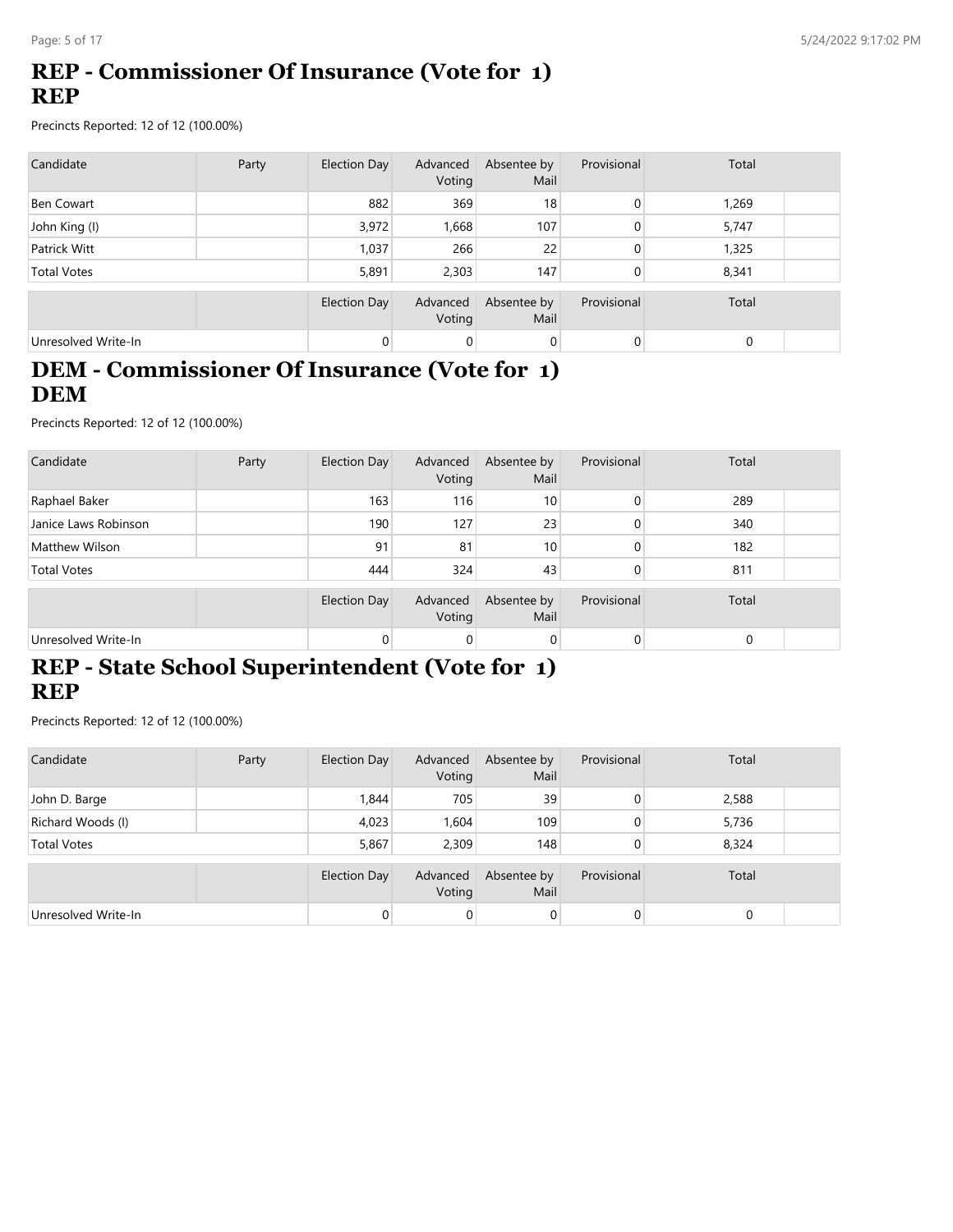# **REP - Commissioner Of Insurance (Vote for 1) REP**

Precincts Reported: 12 of 12 (100.00%)

| Candidate           | Party | <b>Election Day</b> | Advanced<br>Voting | Absentee by<br>Mail | Provisional | Total    |  |
|---------------------|-------|---------------------|--------------------|---------------------|-------------|----------|--|
| Ben Cowart          |       | 882                 | 369                | 18                  | 0           | 1,269    |  |
| John King (I)       |       | 3,972               | 1,668              | 107                 | 0           | 5,747    |  |
| Patrick Witt        |       | 1,037               | 266                | 22                  | 0           | 1,325    |  |
| <b>Total Votes</b>  |       | 5,891               | 2,303              | 147                 | 0           | 8,341    |  |
|                     |       | Election Day        | Advanced<br>Voting | Absentee by<br>Mail | Provisional | Total    |  |
| Unresolved Write-In |       | 0                   | $\mathbf 0$        | 0                   | 0           | $\Omega$ |  |

#### **DEM - Commissioner Of Insurance (Vote for 1) DEM**

Precincts Reported: 12 of 12 (100.00%)

| Candidate            | Party | Election Day | Advanced<br>Voting | Absentee by<br>Mail | Provisional | Total       |  |
|----------------------|-------|--------------|--------------------|---------------------|-------------|-------------|--|
| Raphael Baker        |       | 163          | 116                | 10                  | 0           | 289         |  |
| Janice Laws Robinson |       | 190          | 127                | 23                  | 0           | 340         |  |
| Matthew Wilson       |       | 91           | 81                 | 10 <sup>1</sup>     | 0           | 182         |  |
| <b>Total Votes</b>   |       | 444          | 324                | 43                  | 0           | 811         |  |
|                      |       | Election Day | Advanced<br>Voting | Absentee by<br>Mail | Provisional | Total       |  |
| Unresolved Write-In  |       | 0            | 0                  | 0                   |             | $\mathbf 0$ |  |

# **REP - State School Superintendent (Vote for 1) REP**

| Candidate           | Party | Election Day   | Advanced<br>Voting | Absentee by<br>Mail | Provisional    | Total |  |
|---------------------|-------|----------------|--------------------|---------------------|----------------|-------|--|
| John D. Barge       |       | 1,844          | 705                | 39                  | $\mathbf{0}$   | 2,588 |  |
| Richard Woods (I)   |       | 4,023          | .604               | 109                 | $\mathbf{0}$   | 5,736 |  |
| <b>Total Votes</b>  |       | 5,867          | 2.309              | 148                 | 0              | 8,324 |  |
|                     |       | Election Day   | Advanced<br>Voting | Absentee by<br>Mail | Provisional    | Total |  |
| Unresolved Write-In |       | $\overline{0}$ | $\overline{0}$     | $\overline{0}$      | $\overline{0}$ |       |  |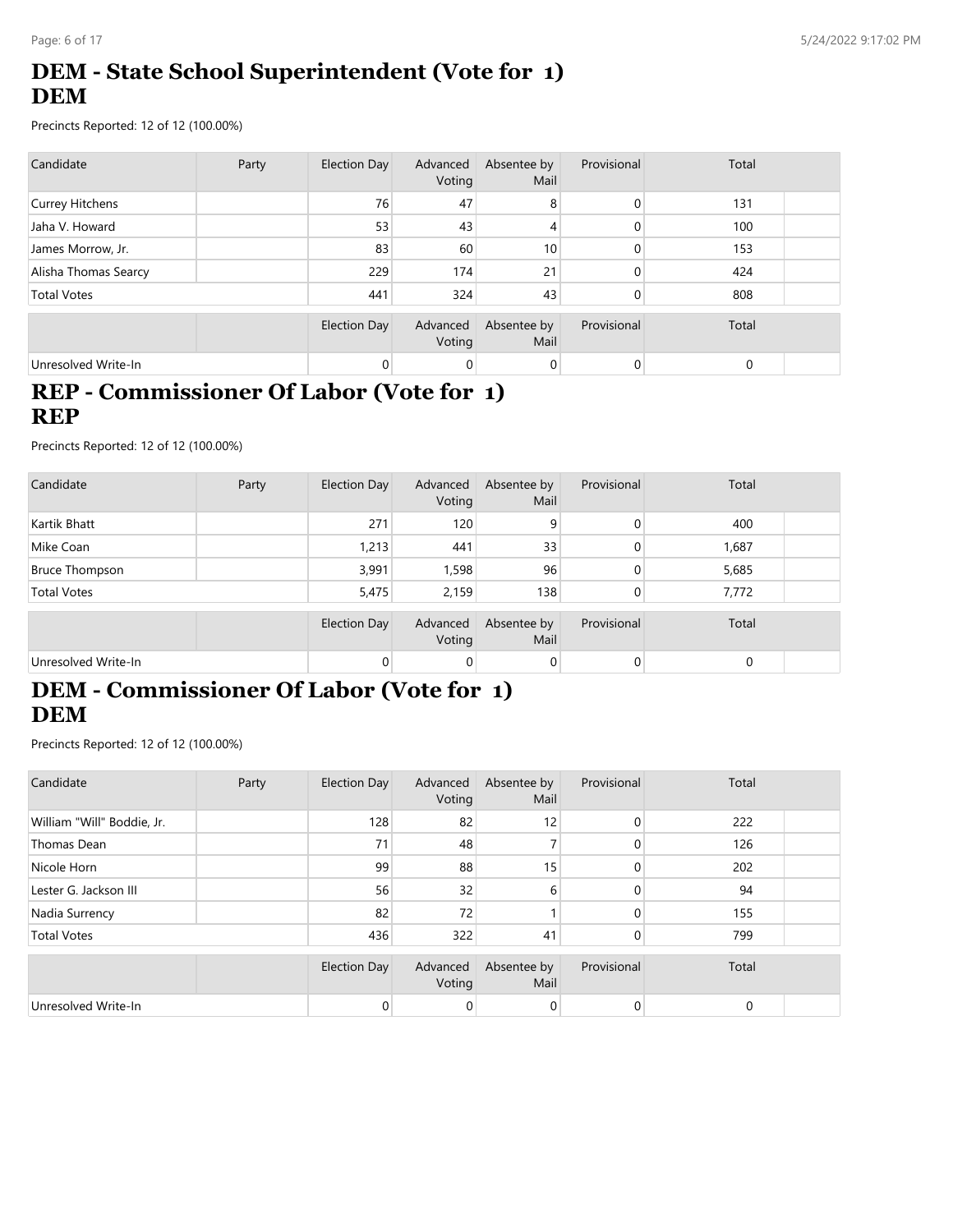# **DEM - State School Superintendent (Vote for 1) DEM**

Precincts Reported: 12 of 12 (100.00%)

| Candidate            | Party | Election Day | Advanced<br>Voting | Absentee by<br>Mail | Provisional | Total       |  |
|----------------------|-------|--------------|--------------------|---------------------|-------------|-------------|--|
| Currey Hitchens      |       | 76           | 47                 | 8                   | $\Omega$    | 131         |  |
| Jaha V. Howard       |       | 53           | 43                 | 4                   | 0           | 100         |  |
| James Morrow, Jr.    |       | 83           | 60                 | 10 <sub>1</sub>     | $\Omega$    | 153         |  |
| Alisha Thomas Searcy |       | 229          | 174                | 21                  | $\Omega$    | 424         |  |
| <b>Total Votes</b>   |       | 441          | 324                | 43                  | $\Omega$    | 808         |  |
|                      |       | Election Day | Advanced<br>Voting | Absentee by<br>Mail | Provisional | Total       |  |
| Unresolved Write-In  |       |              | 0                  | 0                   | 0           | $\mathbf 0$ |  |

#### **REP - Commissioner Of Labor (Vote for 1) REP**

Precincts Reported: 12 of 12 (100.00%)

| Candidate             | Party | Election Day | Advanced<br>Voting | Absentee by<br>Mail | Provisional | Total |  |
|-----------------------|-------|--------------|--------------------|---------------------|-------------|-------|--|
| Kartik Bhatt          |       | 271          | 120                | 9                   | 0           | 400   |  |
| Mike Coan             |       | 1,213        | 441                | 33                  | 0           | 1,687 |  |
| <b>Bruce Thompson</b> |       | 3,991        | 1,598              | 96                  | 0           | 5,685 |  |
| <b>Total Votes</b>    |       | 5,475        | 2,159              | 138                 | 0           | 7,772 |  |
|                       |       | Election Day | Advanced<br>Voting | Absentee by<br>Mail | Provisional | Total |  |
| Unresolved Write-In   |       | 0            | 0                  | 0                   | 0           | 0     |  |

# **DEM - Commissioner Of Labor (Vote for 1) DEM**

| Candidate                  | Party | Election Day   | Advanced<br>Voting | Absentee by<br>Mail | Provisional    | Total |  |
|----------------------------|-------|----------------|--------------------|---------------------|----------------|-------|--|
| William "Will" Boddie, Jr. |       | 128            | 82                 | 12                  | $\mathbf{0}$   | 222   |  |
| Thomas Dean                |       | 71             | 48                 |                     | 0              | 126   |  |
| Nicole Horn                |       | 99             | 88                 | 15                  | 0              | 202   |  |
| Lester G. Jackson III      |       | 56             | 32                 | 6                   | 0              | 94    |  |
| Nadia Surrency             |       | 82             | 72                 |                     | $\Omega$       | 155   |  |
| <b>Total Votes</b>         |       | 436            | 322                | 41                  | $\overline{0}$ | 799   |  |
|                            |       | Election Day   | Advanced<br>Voting | Absentee by<br>Mail | Provisional    | Total |  |
| Unresolved Write-In        |       | $\overline{0}$ | 0                  | 0                   | $\overline{0}$ | 0     |  |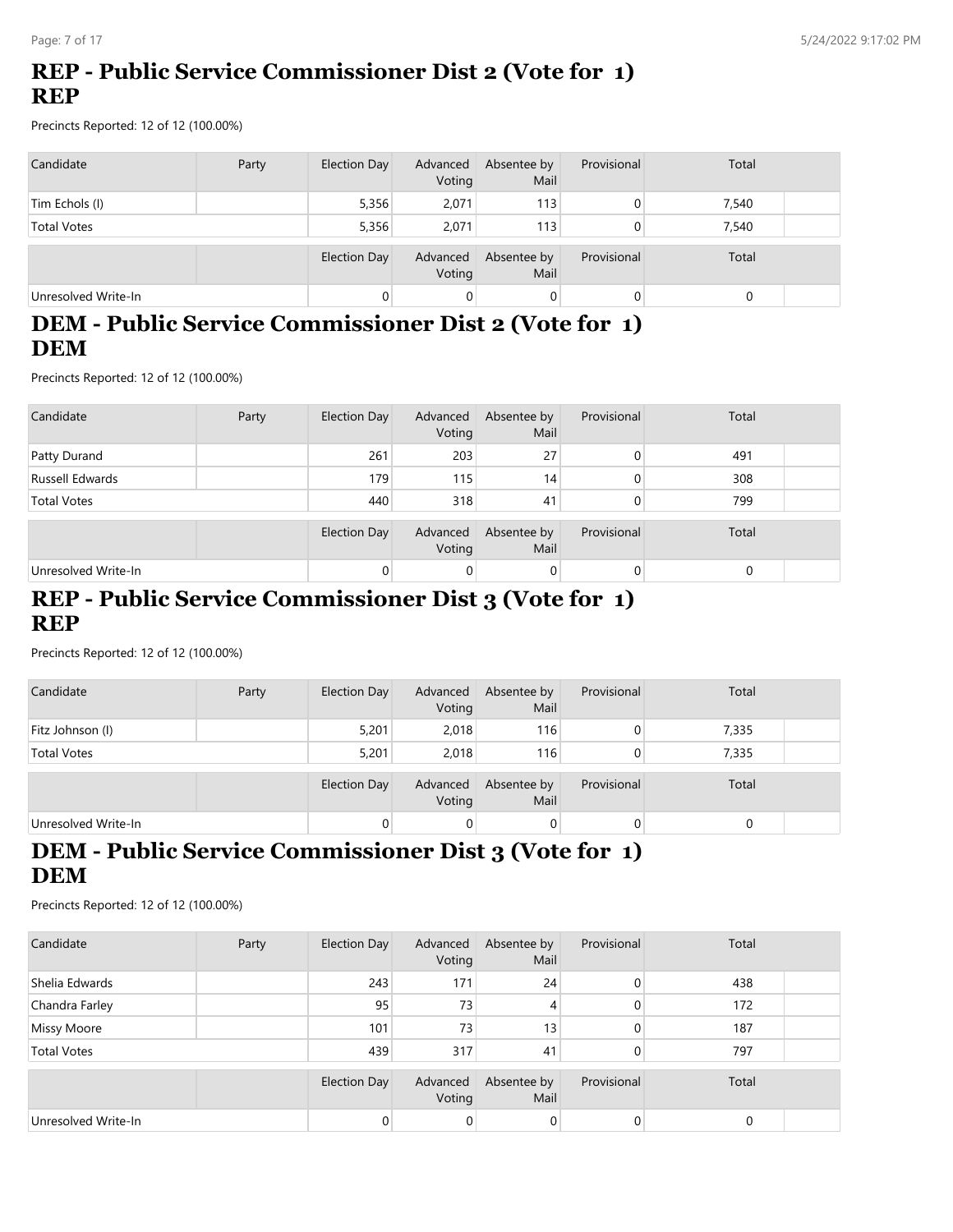# **REP - Public Service Commissioner Dist 2 (Vote for 1) REP**

Precincts Reported: 12 of 12 (100.00%)

| Candidate           | Party | Election Day | Advanced<br>Voting | Absentee by<br>Mail | Provisional | Total |  |
|---------------------|-------|--------------|--------------------|---------------------|-------------|-------|--|
| Tim Echols (I)      |       | 5,356        | 2,071              | 113                 |             | 7,540 |  |
| <b>Total Votes</b>  |       | 5,356        | 2.071              | 113                 | 0           | 7,540 |  |
|                     |       | Election Day | Advanced<br>Voting | Absentee by<br>Mail | Provisional | Total |  |
| Unresolved Write-In |       |              | 0                  | $\overline{0}$      | 0           |       |  |

#### **DEM - Public Service Commissioner Dist 2 (Vote for 1) DEM**

Precincts Reported: 12 of 12 (100.00%)

| Candidate           | Party | Election Day        | Advanced<br>Voting | Absentee by<br>Mail | Provisional    | Total |  |
|---------------------|-------|---------------------|--------------------|---------------------|----------------|-------|--|
| Patty Durand        |       | 261                 | 203                | 27                  | $\Omega$       | 491   |  |
| Russell Edwards     |       | 179                 | 115                | 14                  | $\Omega$       | 308   |  |
| <b>Total Votes</b>  |       | 440                 | 318                | 41                  | $\overline{0}$ | 799   |  |
|                     |       | <b>Election Day</b> | Advanced<br>Voting | Absentee by<br>Mail | Provisional    | Total |  |
| Unresolved Write-In |       | 0                   | 0                  | 0                   | $\overline{0}$ |       |  |

#### **REP - Public Service Commissioner Dist 3 (Vote for 1) REP**

Precincts Reported: 12 of 12 (100.00%)

| Candidate           | Party | Election Day | Advanced<br>Voting | Absentee by<br>Mail | Provisional | Total |  |
|---------------------|-------|--------------|--------------------|---------------------|-------------|-------|--|
| Fitz Johnson (I)    |       | 5,201        | 2,018              | 116                 |             | 7,335 |  |
| <b>Total Votes</b>  |       | 5,201        | 2.018              | 116                 |             | 7,335 |  |
|                     |       | Election Day | Advanced<br>Voting | Absentee by<br>Mail | Provisional | Total |  |
| Unresolved Write-In |       |              | 0                  | 0                   | 0           |       |  |

# **DEM - Public Service Commissioner Dist 3 (Vote for 1) DEM**

| Candidate           | Party | Election Day | Advanced<br>Voting | Absentee by<br>Mail | Provisional | Total |  |
|---------------------|-------|--------------|--------------------|---------------------|-------------|-------|--|
| Shelia Edwards      |       | 243          | 171                | 24                  | $\Omega$    | 438   |  |
| Chandra Farley      |       | 95           | 73                 | 4                   | $\Omega$    | 172   |  |
| <b>Missy Moore</b>  |       | 101          | 73                 | 13                  | 0           | 187   |  |
| <b>Total Votes</b>  |       | 439          | 317                | 41                  | 0           | 797   |  |
|                     |       | Election Day | Advanced<br>Voting | Absentee by<br>Mail | Provisional | Total |  |
| Unresolved Write-In |       | $\Omega$     | $\overline{0}$     | 0                   | 0           |       |  |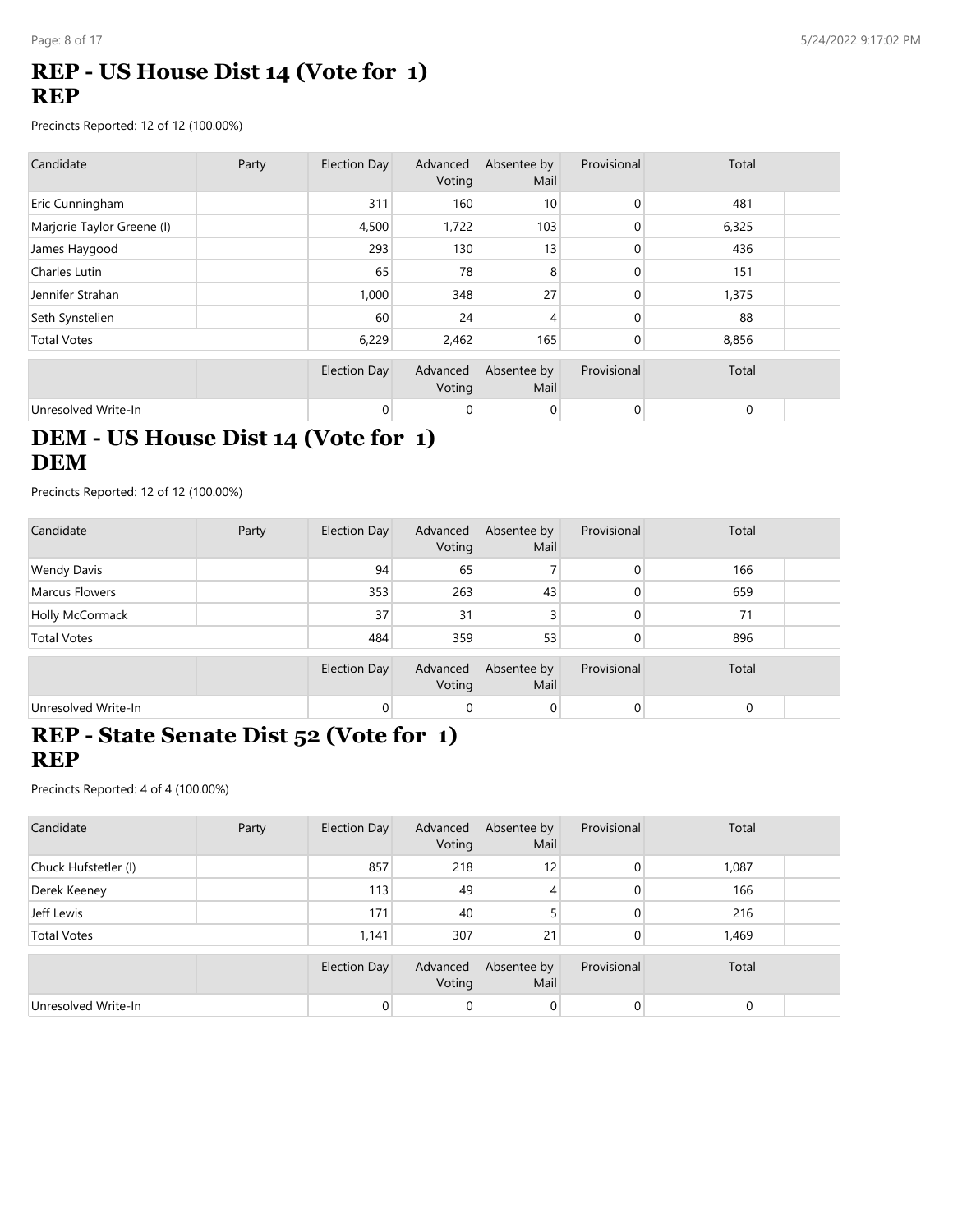### **REP - US House Dist 14 (Vote for 1) REP**

Precincts Reported: 12 of 12 (100.00%)

| Candidate                  | Party | Election Day        | Advanced<br>Voting | Absentee by<br>Mail | Provisional | Total       |  |
|----------------------------|-------|---------------------|--------------------|---------------------|-------------|-------------|--|
| Eric Cunningham            |       | 311                 | 160                | 10                  | 0           | 481         |  |
| Marjorie Taylor Greene (I) |       | 4,500               | 1,722              | 103                 | 0           | 6,325       |  |
| James Haygood              |       | 293                 | 130                | 13                  | 0           | 436         |  |
| Charles Lutin              |       | 65                  | 78                 | 8                   | 0           | 151         |  |
| Jennifer Strahan           |       | 1,000               | 348                | 27                  | 0           | 1,375       |  |
| Seth Synstelien            |       | 60                  | 24                 | 4                   | 0           | 88          |  |
| <b>Total Votes</b>         |       | 6,229               | 2,462              | 165                 | 0           | 8,856       |  |
|                            |       | <b>Election Day</b> | Advanced<br>Voting | Absentee by<br>Mail | Provisional | Total       |  |
| Unresolved Write-In        |       | 0                   | $\mathbf 0$        | 0                   | 0           | $\mathbf 0$ |  |

### **DEM - US House Dist 14 (Vote for 1) DEM**

Precincts Reported: 12 of 12 (100.00%)

| Candidate             | Party | Election Day | Advanced<br>Voting | Absentee by<br>Mail | Provisional | Total       |  |
|-----------------------|-------|--------------|--------------------|---------------------|-------------|-------------|--|
| <b>Wendy Davis</b>    |       | 94           | 65                 |                     | 0           | 166         |  |
| <b>Marcus Flowers</b> |       | 353          | 263                | 43                  | 0           | 659         |  |
| Holly McCormack       |       | 37           | 31                 | 3                   | 0           | 71          |  |
| <b>Total Votes</b>    |       | 484          | 359                | 53                  | 0           | 896         |  |
|                       |       | Election Day | Advanced<br>Voting | Absentee by<br>Mail | Provisional | Total       |  |
| Unresolved Write-In   |       | 0            | 0                  | 0                   |             | $\mathbf 0$ |  |

#### **REP - State Senate Dist 52 (Vote for 1) REP**

| Candidate            | Party | Election Day | Advanced<br>Voting | Absentee by<br>Mail | Provisional | Total       |  |
|----------------------|-------|--------------|--------------------|---------------------|-------------|-------------|--|
| Chuck Hufstetler (I) |       | 857          | 218                | 12                  | 0           | 1,087       |  |
| Derek Keeney         |       | 113          | 49                 | 4                   | 0           | 166         |  |
| Jeff Lewis           |       | 171          | 40                 | 5                   | 0           | 216         |  |
| <b>Total Votes</b>   |       | 1,141        | 307                | 21                  | 0           | 1,469       |  |
|                      |       | Election Day | Advanced<br>Voting | Absentee by<br>Mail | Provisional | Total       |  |
| Unresolved Write-In  |       |              | 0                  | 0                   | 0           | $\mathbf 0$ |  |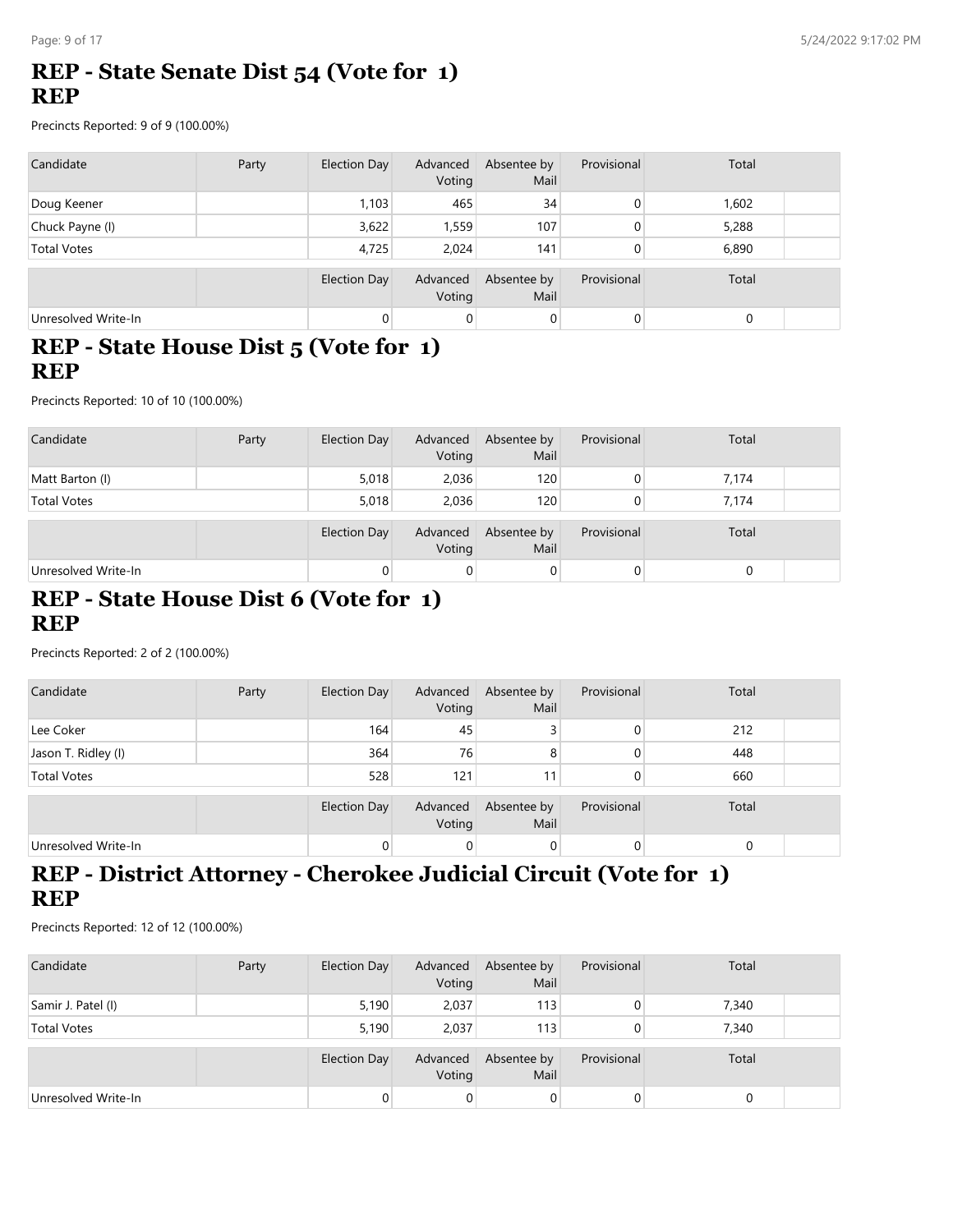## **REP - State Senate Dist 54 (Vote for 1) REP**

Precincts Reported: 9 of 9 (100.00%)

| Candidate           | Party | <b>Election Day</b> | Advanced<br>Voting | Absentee by<br>Mail | Provisional | Total |  |
|---------------------|-------|---------------------|--------------------|---------------------|-------------|-------|--|
| Doug Keener         |       | 1,103               | 465                | 34                  | 0           | 1,602 |  |
| Chuck Payne (I)     |       | 3,622               | 1,559              | 107                 | 0           | 5,288 |  |
| <b>Total Votes</b>  |       | 4,725               | 2.024              | 141                 | 0           | 6,890 |  |
|                     |       | <b>Election Day</b> | Advanced<br>Voting | Absentee by<br>Mail | Provisional | Total |  |
| Unresolved Write-In |       | 0                   | $\overline{0}$     | $\mathbf 0$         | 0           | 0     |  |

#### **REP - State House Dist 5 (Vote for 1) REP**

Precincts Reported: 10 of 10 (100.00%)

| Candidate           | Party | Election Day        | Advanced<br>Voting | Absentee by<br>Mail | Provisional | Total |  |
|---------------------|-------|---------------------|--------------------|---------------------|-------------|-------|--|
| Matt Barton (I)     |       | 5,018               | 2,036              | 120                 | 0           | 7,174 |  |
| <b>Total Votes</b>  |       | 5,018               | 2.036              | 120                 | 0           | 7,174 |  |
|                     |       | <b>Election Day</b> | Advanced<br>Voting | Absentee by<br>Mail | Provisional | Total |  |
| Unresolved Write-In |       | 0                   | $\overline{0}$     | 0                   | 0           |       |  |

#### **REP - State House Dist 6 (Vote for 1) REP**

Precincts Reported: 2 of 2 (100.00%)

| Candidate           | Party | Election Day | Advanced<br>Voting | Absentee by<br>Mail | Provisional | Total       |  |
|---------------------|-------|--------------|--------------------|---------------------|-------------|-------------|--|
| Lee Coker           |       | 164          | 45                 |                     |             | 212         |  |
| Jason T. Ridley (I) |       | 364          | 76                 | 8                   |             | 448         |  |
| <b>Total Votes</b>  |       | 528          | 121                | 11                  |             | 660         |  |
|                     |       | Election Day | Advanced<br>Voting | Absentee by<br>Mail | Provisional | Total       |  |
| Unresolved Write-In |       |              | 0                  | 0                   |             | $\mathbf 0$ |  |

# **REP - District Attorney - Cherokee Judicial Circuit (Vote for 1) REP**

| Candidate           | Party | Election Day        | Advanced<br>Voting | Absentee by<br>Mail | Provisional | Total |  |
|---------------------|-------|---------------------|--------------------|---------------------|-------------|-------|--|
| Samir J. Patel (I)  |       | 5,190               | 2,037              | 113                 |             | 7,340 |  |
| <b>Total Votes</b>  |       | 5.190               | 2.037              | 113                 |             | 7,340 |  |
|                     |       | <b>Election Day</b> | Advanced<br>Voting | Absentee by<br>Mail | Provisional | Total |  |
| Unresolved Write-In |       |                     | 0                  | 0                   | 0           |       |  |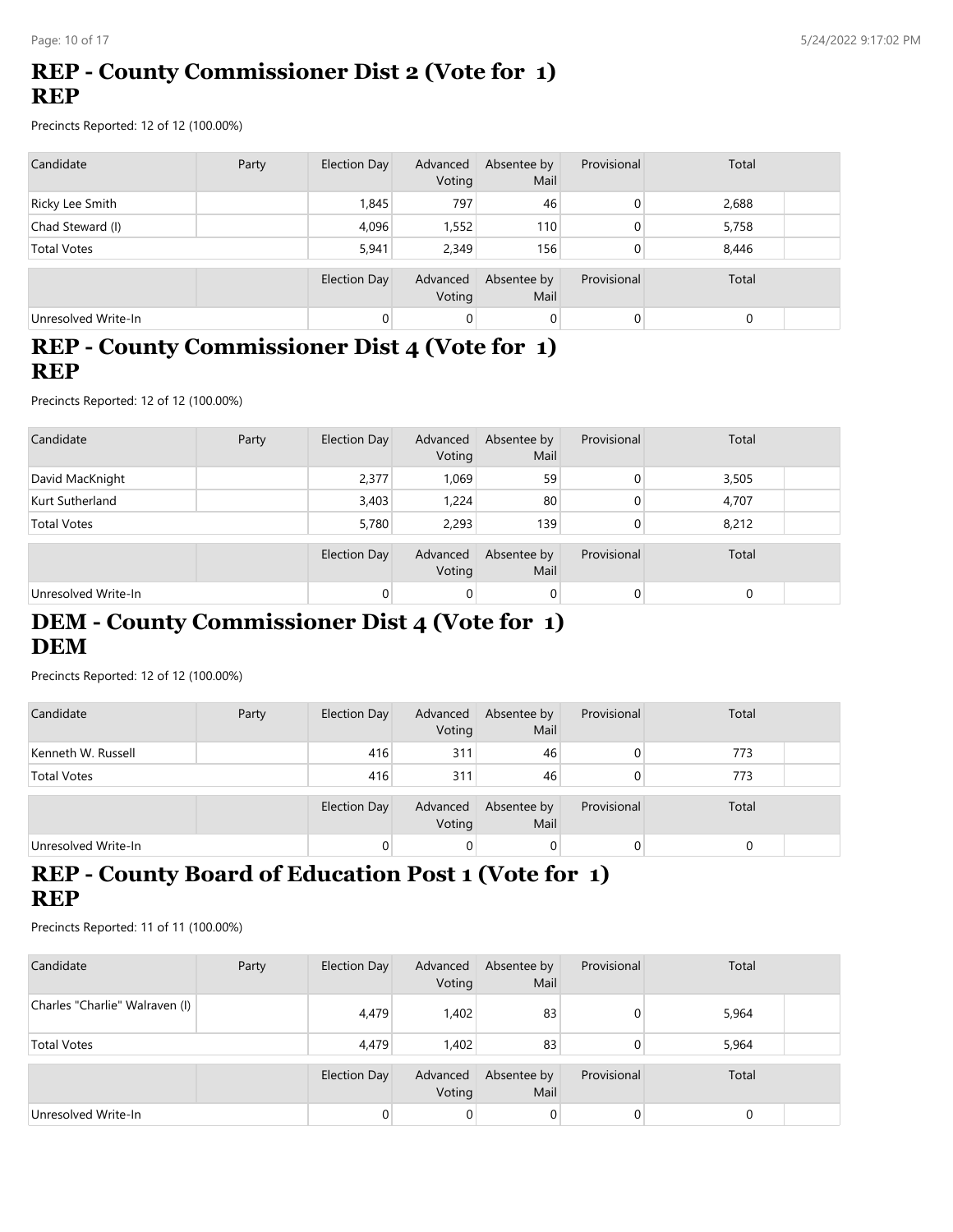# **REP - County Commissioner Dist 2 (Vote for 1) REP**

Precincts Reported: 12 of 12 (100.00%)

| Candidate           | Party | Election Day | Advanced<br>Voting | Absentee by<br>Mail | Provisional | Total |  |
|---------------------|-------|--------------|--------------------|---------------------|-------------|-------|--|
| Ricky Lee Smith     |       | 1,845        | 797                | 46                  | 0           | 2,688 |  |
| Chad Steward (I)    |       | 4,096        | 1,552              | 110                 | 0           | 5,758 |  |
| <b>Total Votes</b>  |       | 5.941        | 2.349              | 156                 | 0           | 8,446 |  |
|                     |       | Election Day | Advanced<br>Voting | Absentee by<br>Mail | Provisional | Total |  |
| Unresolved Write-In |       | $\Omega$     | $\mathbf 0$        | 0                   | 0           | 0     |  |

### **REP - County Commissioner Dist 4 (Vote for 1) REP**

Precincts Reported: 12 of 12 (100.00%)

| Candidate           | Party | Election Day        | Advanced<br>Voting | Absentee by<br>Mail | Provisional | Total |  |
|---------------------|-------|---------------------|--------------------|---------------------|-------------|-------|--|
| David MacKnight     |       | 2,377               | 1,069              | 59                  | 0           | 3,505 |  |
| Kurt Sutherland     |       | 3,403               | 1.224              | 80                  | 0           | 4,707 |  |
| <b>Total Votes</b>  |       | 5,780               | 2,293              | 139                 | 0           | 8,212 |  |
|                     |       | <b>Election Day</b> | Advanced<br>Voting | Absentee by<br>Mail | Provisional | Total |  |
| Unresolved Write-In |       |                     | 0                  | 0                   | 0           |       |  |

### **DEM - County Commissioner Dist 4 (Vote for 1) DEM**

Precincts Reported: 12 of 12 (100.00%)

| Candidate           | Party | Election Day        | Advanced<br>Voting | Absentee by<br>Mail | Provisional | Total |  |
|---------------------|-------|---------------------|--------------------|---------------------|-------------|-------|--|
| Kenneth W. Russell  |       | 416                 | 311                | 46                  |             | 773   |  |
| <b>Total Votes</b>  |       | 416                 | 311                | 46                  |             | 773   |  |
|                     |       | <b>Election Day</b> | Advanced<br>Voting | Absentee by<br>Mail | Provisional | Total |  |
| Unresolved Write-In |       | 0                   | 0                  | $\overline{0}$      | 0           |       |  |

# **REP - County Board of Education Post 1 (Vote for 1) REP**

| Candidate                      | Party | Election Day | Advanced<br>Voting | Absentee by<br>Mail | Provisional | Total |  |
|--------------------------------|-------|--------------|--------------------|---------------------|-------------|-------|--|
| Charles "Charlie" Walraven (I) |       | 4,479        | 1,402              | 83                  |             | 5,964 |  |
| <b>Total Votes</b>             |       | 4.479        | 1.402              | 83                  |             | 5,964 |  |
|                                |       | Election Day | Advanced<br>Voting | Absentee by<br>Mail | Provisional | Total |  |
| Unresolved Write-In            |       |              | 0                  | $\overline{0}$      |             |       |  |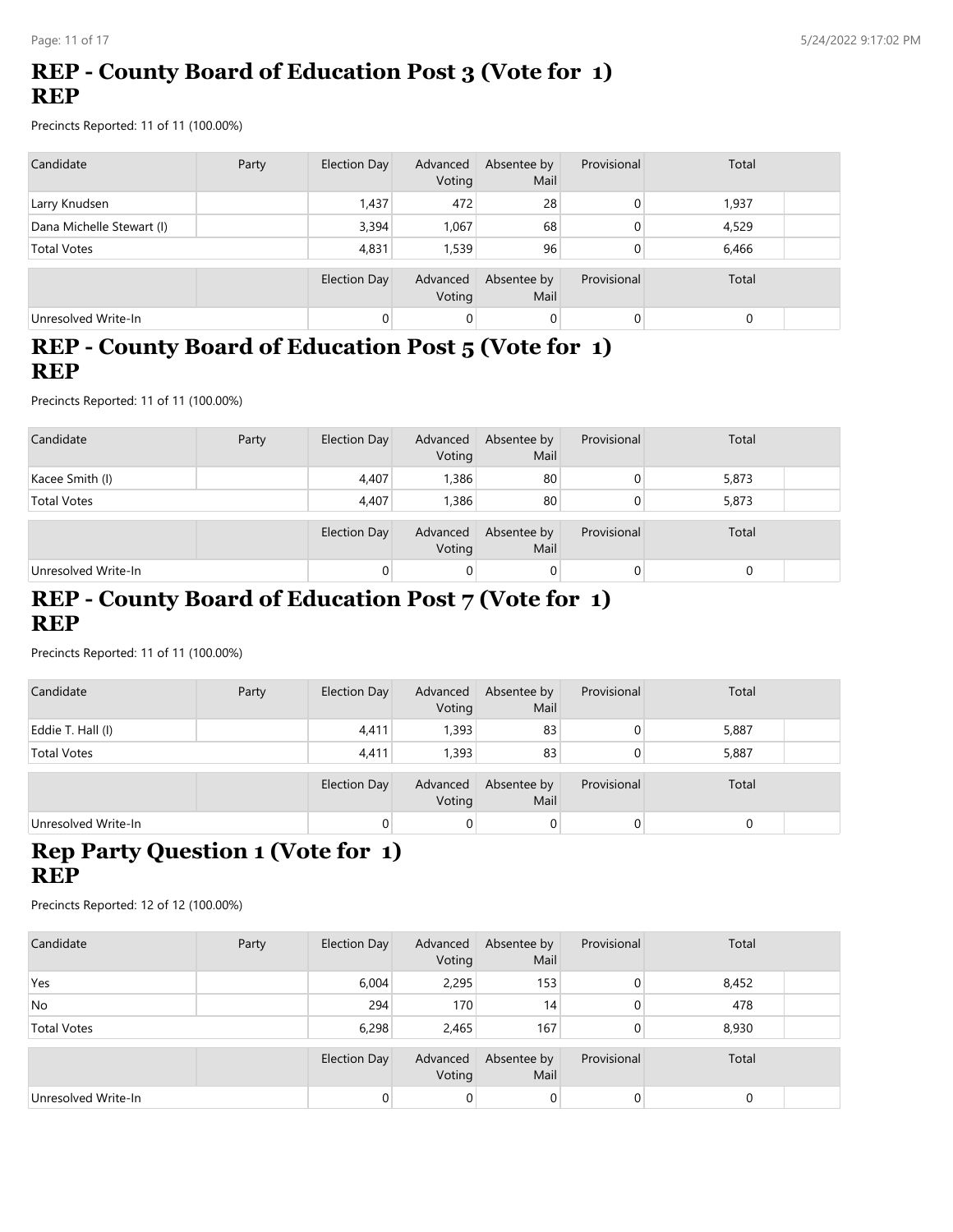# **REP - County Board of Education Post 3 (Vote for 1) REP**

Precincts Reported: 11 of 11 (100.00%)

| Candidate                 | Party | Election Day        | Advanced<br>Voting | Absentee by<br>Mail | Provisional    | Total |  |
|---------------------------|-------|---------------------|--------------------|---------------------|----------------|-------|--|
| Larry Knudsen             |       | 1,437               | 472                | 28                  | 0              | 1,937 |  |
| Dana Michelle Stewart (I) |       | 3,394               | 1,067              | 68                  | 0              | 4,529 |  |
| <b>Total Votes</b>        |       | 4,831               | 1.539              | 96                  | 0              | 6,466 |  |
|                           |       | <b>Election Day</b> | Advanced<br>Voting | Absentee by<br>Mail | Provisional    | Total |  |
| Unresolved Write-In       |       |                     | $\overline{0}$     | $\mathbf 0$         | $\overline{0}$ |       |  |

### **REP - County Board of Education Post 5 (Vote for 1) REP**

Precincts Reported: 11 of 11 (100.00%)

| Candidate           | Party | Election Day        | Advanced<br>Voting | Absentee by<br>Mail | Provisional | Total |  |
|---------------------|-------|---------------------|--------------------|---------------------|-------------|-------|--|
| Kacee Smith (I)     |       | 4,407               | 1,386              | 80                  | 0           | 5,873 |  |
| <b>Total Votes</b>  |       | 4.407               | 1,386              | 80                  | 0           | 5,873 |  |
|                     |       | <b>Election Day</b> | Advanced<br>Voting | Absentee by<br>Mail | Provisional | Total |  |
| Unresolved Write-In |       |                     | 0                  | 0                   | 0           |       |  |

#### **REP - County Board of Education Post 7 (Vote for 1) REP**

Precincts Reported: 11 of 11 (100.00%)

| Candidate           | Party | Election Day | Advanced<br>Voting | Absentee by<br>Mail | Provisional | Total |  |
|---------------------|-------|--------------|--------------------|---------------------|-------------|-------|--|
| Eddie T. Hall (I)   |       | 4,411        | 1,393              | 83                  |             | 5,887 |  |
| <b>Total Votes</b>  |       | 4,411        | 1,393              | 83                  |             | 5,887 |  |
|                     |       | Election Day | Advanced<br>Voting | Absentee by<br>Mail | Provisional | Total |  |
| Unresolved Write-In |       | 0            | $\overline{0}$     | 0                   | 0           |       |  |

# **Rep Party Question 1 (Vote for 1) REP**

| Candidate           | Party | Election Day        | Advanced<br>Voting | Absentee by<br>Mail | Provisional | Total |  |
|---------------------|-------|---------------------|--------------------|---------------------|-------------|-------|--|
| Yes                 |       | 6,004               | 2,295              | 153                 | 0           | 8,452 |  |
| <b>No</b>           |       | 294                 | 170                | 14                  | 0           | 478   |  |
| <b>Total Votes</b>  |       | 6,298               | 2,465              | 167                 | 0           | 8,930 |  |
|                     |       | <b>Election Day</b> | Advanced<br>Voting | Absentee by<br>Mail | Provisional | Total |  |
| Unresolved Write-In |       | $\Omega$            | $\overline{0}$     | $\overline{0}$      | 0           |       |  |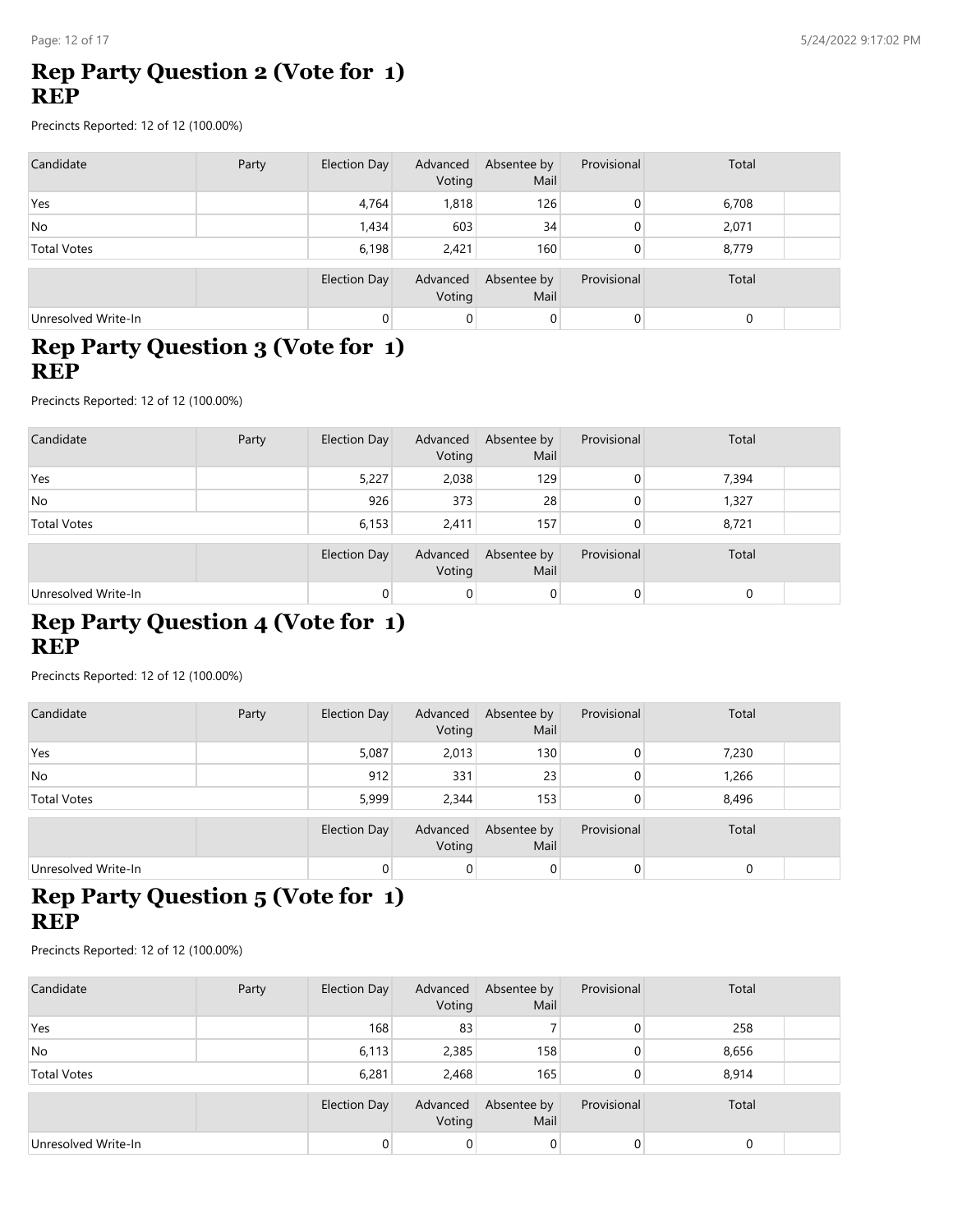### **Rep Party Question 2 (Vote for 1) REP**

Precincts Reported: 12 of 12 (100.00%)

| Candidate           | Party | Election Day | Advanced<br>Voting | Absentee by<br>Mail | Provisional | Total       |  |
|---------------------|-------|--------------|--------------------|---------------------|-------------|-------------|--|
| Yes                 |       | 4,764        | 1,818              | 126                 |             | 6,708       |  |
| <b>No</b>           |       | 1,434        | 603                | 34                  |             | 2,071       |  |
| <b>Total Votes</b>  |       | 6,198        | 2,421              | 160                 |             | 8,779       |  |
|                     |       | Election Day | Advanced<br>Voting | Absentee by<br>Mail | Provisional | Total       |  |
| Unresolved Write-In |       |              | 0                  | 0                   |             | $\mathbf 0$ |  |

### **Rep Party Question 3 (Vote for 1) REP**

Precincts Reported: 12 of 12 (100.00%)

| Candidate           | Party | Election Day        | Advanced<br>Voting | Absentee by<br>Mail | Provisional    | Total    |  |
|---------------------|-------|---------------------|--------------------|---------------------|----------------|----------|--|
| Yes                 |       | 5,227               | 2,038              | 129                 | $\overline{0}$ | 7,394    |  |
| No.                 |       | 926                 | 373                | 28                  | 0              | 1,327    |  |
| <b>Total Votes</b>  |       | 6,153               | 2.411              | 157                 | 0              | 8,721    |  |
|                     |       | <b>Election Day</b> | Advanced<br>Voting | Absentee by<br>Mail | Provisional    | Total    |  |
| Unresolved Write-In |       | $\Omega$            | 0                  | 0                   | $\overline{0}$ | $\Omega$ |  |

# **Rep Party Question 4 (Vote for 1) REP**

Precincts Reported: 12 of 12 (100.00%)

| Candidate           | Party | Election Day | Advanced<br>Voting | Absentee by<br>Mail | Provisional | Total |  |
|---------------------|-------|--------------|--------------------|---------------------|-------------|-------|--|
| Yes                 |       | 5,087        | 2,013              | 130                 | 0           | 7,230 |  |
| <b>No</b>           |       | 912          | 331                | 23                  | 0           | 1,266 |  |
| <b>Total Votes</b>  |       | 5,999        | 2,344              | 153                 |             | 8,496 |  |
|                     |       | Election Day | Advanced<br>Voting | Absentee by<br>Mail | Provisional | Total |  |
| Unresolved Write-In |       |              | 0                  | 0                   | 0           |       |  |

# **Rep Party Question 5 (Vote for 1) REP**

| Candidate           | Party | Election Day | Advanced<br>Voting | Absentee by<br>Mail | Provisional    | Total |  |
|---------------------|-------|--------------|--------------------|---------------------|----------------|-------|--|
| Yes                 |       | 168          | 83                 |                     | $\overline{0}$ | 258   |  |
| <b>No</b>           |       | 6,113        | 2,385              | 158                 | $\overline{0}$ | 8,656 |  |
| <b>Total Votes</b>  |       | 6,281        | 2,468              | 165                 | $\overline{0}$ | 8,914 |  |
|                     |       | Election Day | Advanced<br>Voting | Absentee by<br>Mail | Provisional    | Total |  |
| Unresolved Write-In |       |              | 0                  | 0                   | 0              |       |  |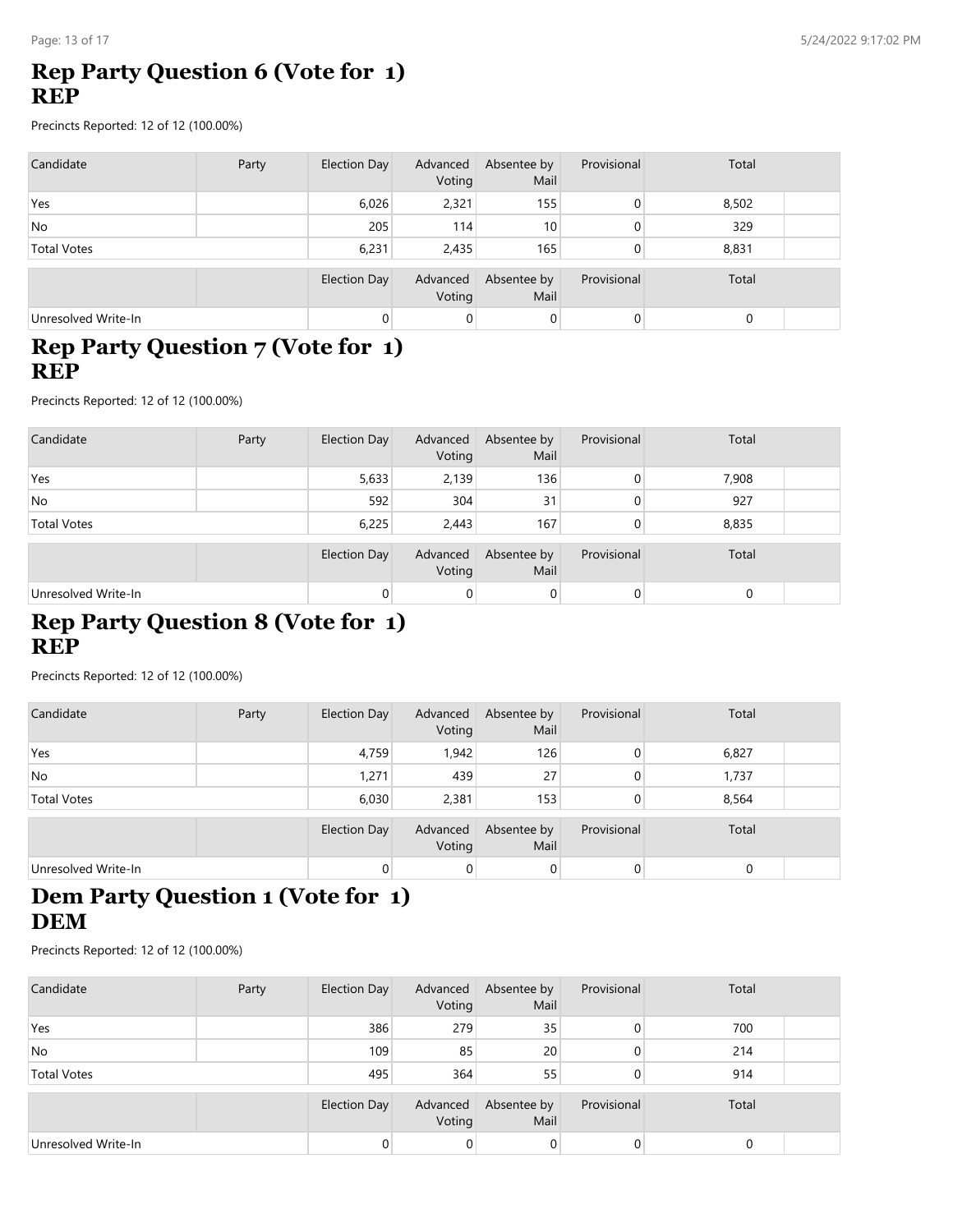## **Rep Party Question 6 (Vote for 1) REP**

Precincts Reported: 12 of 12 (100.00%)

| Candidate           | Party | Election Day | Advanced<br>Voting | Absentee by<br>Mail | Provisional | Total |  |
|---------------------|-------|--------------|--------------------|---------------------|-------------|-------|--|
| Yes                 |       | 6,026        | 2,321              | 155                 | 0           | 8,502 |  |
| <b>No</b>           |       | 205          | 114                | 10 <sub>1</sub>     | 0           | 329   |  |
| <b>Total Votes</b>  |       | 6,231        | 2,435              | 165                 |             | 8,831 |  |
|                     |       | Election Day | Advanced<br>Voting | Absentee by<br>Mail | Provisional | Total |  |
| Unresolved Write-In |       |              | 0                  | $\overline{0}$      | 0           | 0     |  |

#### **Rep Party Question 7 (Vote for 1) REP**

Precincts Reported: 12 of 12 (100.00%)

| Candidate           | Party | Election Day        | Advanced<br>Voting | Absentee by<br>Mail | Provisional    | Total |  |
|---------------------|-------|---------------------|--------------------|---------------------|----------------|-------|--|
| Yes                 |       | 5,633               | 2,139              | 136                 | $\overline{0}$ | 7,908 |  |
| No.                 |       | 592                 | 304                | 31                  | $\overline{0}$ | 927   |  |
| <b>Total Votes</b>  |       | 6,225               | 2.443              | 167                 | $\overline{0}$ | 8,835 |  |
|                     |       | <b>Election Day</b> | Advanced<br>Voting | Absentee by<br>Mail | Provisional    | Total |  |
| Unresolved Write-In |       | $\Omega$            | $\mathbf 0$        | $\overline{0}$      | $\overline{0}$ |       |  |

### **Rep Party Question 8 (Vote for 1) REP**

Precincts Reported: 12 of 12 (100.00%)

| Candidate           | Party | Election Day | Advanced<br>Voting | Absentee by<br>Mail | Provisional | Total |  |
|---------------------|-------|--------------|--------------------|---------------------|-------------|-------|--|
| Yes                 |       | 4,759        | 1,942              | 126                 | 0           | 6,827 |  |
| <b>No</b>           |       | 1,271        | 439                | 27                  | 0           | 1,737 |  |
| <b>Total Votes</b>  |       | 6,030        | 2,381              | 153                 |             | 8,564 |  |
|                     |       | Election Day | Advanced<br>Voting | Absentee by<br>Mail | Provisional | Total |  |
| Unresolved Write-In |       |              | 0                  | 0                   | 0           |       |  |

# **Dem Party Question 1 (Vote for 1) DEM**

| Candidate           | Party | Election Day        | Advanced<br>Voting | Absentee by<br>Mail | Provisional | Total |  |
|---------------------|-------|---------------------|--------------------|---------------------|-------------|-------|--|
| Yes                 |       | 386                 | 279                | 35                  | $\Omega$    | 700   |  |
| No                  |       | 109                 | 85                 | 20                  | $\Omega$    | 214   |  |
| <b>Total Votes</b>  |       | 495                 | 364                | 55                  | $\Omega$    | 914   |  |
|                     |       | <b>Election Day</b> | Advanced<br>Voting | Absentee by<br>Mail | Provisional | Total |  |
| Unresolved Write-In |       |                     | 0                  | 0                   | 0           |       |  |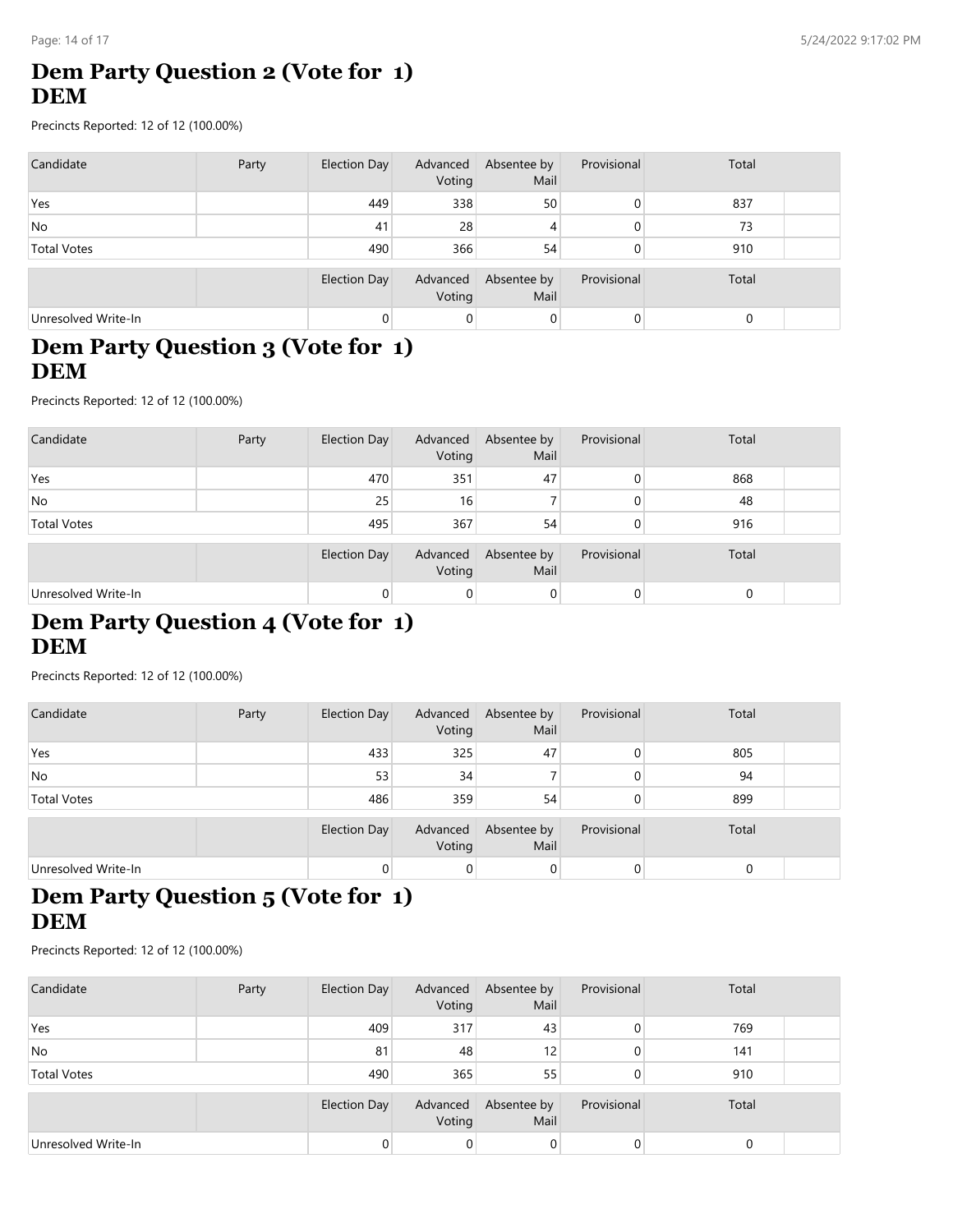# **Dem Party Question 2 (Vote for 1) DEM**

Precincts Reported: 12 of 12 (100.00%)

| Candidate           | Party | Election Day | Advanced<br>Voting | Absentee by<br>Mail | Provisional | Total |  |
|---------------------|-------|--------------|--------------------|---------------------|-------------|-------|--|
| Yes                 |       | 449          | 338                | 50                  |             | 837   |  |
| <b>No</b>           |       | 41           | 28                 | 4                   |             | 73    |  |
| <b>Total Votes</b>  |       | 490          | 366                | 54                  |             | 910   |  |
|                     |       | Election Day | Advanced<br>Voting | Absentee by<br>Mail | Provisional | Total |  |
| Unresolved Write-In |       |              | 0                  | 0                   |             | 0     |  |

#### **Dem Party Question 3 (Vote for 1) DEM**

Precincts Reported: 12 of 12 (100.00%)

| Candidate           | Party | <b>Election Day</b> | Advanced<br>Voting | Absentee by<br>Mail | Provisional | Total |  |
|---------------------|-------|---------------------|--------------------|---------------------|-------------|-------|--|
| Yes                 |       | 470                 | 351                | 47                  | 0           | 868   |  |
| No.                 |       | 25                  | 16                 |                     | 0           | 48    |  |
| <b>Total Votes</b>  |       | 495                 | 367                | 54                  |             | 916   |  |
|                     |       | <b>Election Day</b> | Advanced<br>Voting | Absentee by<br>Mail | Provisional | Total |  |
| Unresolved Write-In |       |                     | $\overline{0}$     | $\mathbf 0$         | 0           | 0     |  |

# **Dem Party Question 4 (Vote for 1) DEM**

Precincts Reported: 12 of 12 (100.00%)

| Candidate           | Party | Election Day | Advanced<br>Voting | Absentee by<br>Mail | Provisional | Total |  |
|---------------------|-------|--------------|--------------------|---------------------|-------------|-------|--|
| Yes                 |       | 433          | 325                | 47                  | 0           | 805   |  |
| <b>No</b>           |       | 53           | 34                 |                     | 0           | 94    |  |
| <b>Total Votes</b>  |       | 486          | 359                | 54                  |             | 899   |  |
|                     |       | Election Day | Advanced<br>Voting | Absentee by<br>Mail | Provisional | Total |  |
| Unresolved Write-In |       |              | 0                  | 0                   | 0           |       |  |

# **Dem Party Question 5 (Vote for 1) DEM**

| Candidate           | Party | Election Day | Advanced<br>Voting | Absentee by<br>Mail | Provisional | Total |  |
|---------------------|-------|--------------|--------------------|---------------------|-------------|-------|--|
| Yes                 |       | 409          | 317                | 43                  | 0           | 769   |  |
| No.                 |       | 81           | 48                 | 12                  | 0           | 141   |  |
| <b>Total Votes</b>  |       | 490          | 365                | 55                  | 0           | 910   |  |
|                     |       | Election Day | Advanced<br>Voting | Absentee by<br>Mail | Provisional | Total |  |
| Unresolved Write-In |       |              | 0                  | 0                   | 0           |       |  |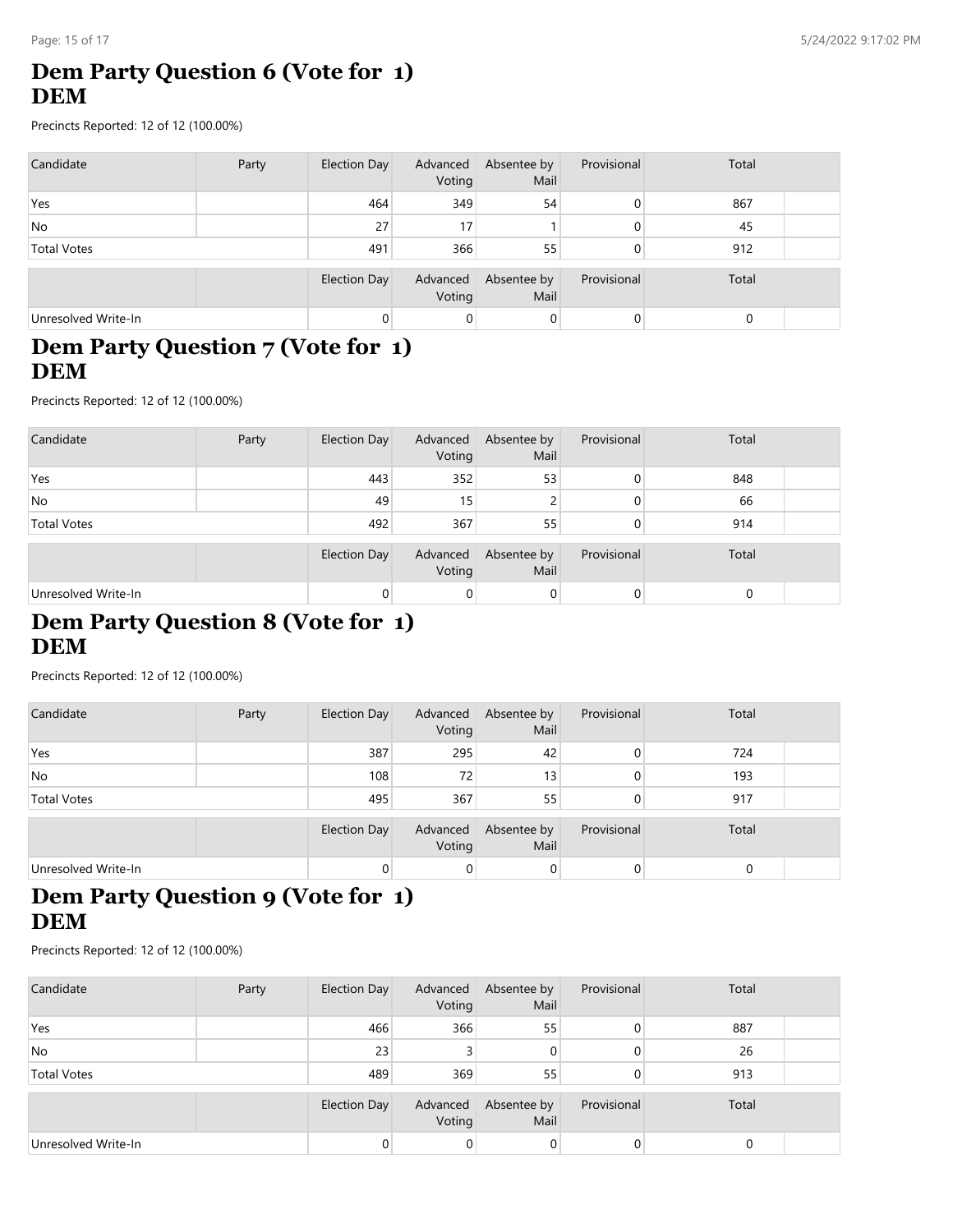# **Dem Party Question 6 (Vote for 1) DEM**

Precincts Reported: 12 of 12 (100.00%)

| Candidate           | Party | Election Day        | Advanced<br>Voting | Absentee by<br>Mail | Provisional | Total |  |
|---------------------|-------|---------------------|--------------------|---------------------|-------------|-------|--|
| Yes                 |       | 464                 | 349                | 54                  |             | 867   |  |
| <b>No</b>           |       | 27                  | 17                 |                     |             | 45    |  |
| <b>Total Votes</b>  |       | 491                 | 366                | 55                  |             | 912   |  |
|                     |       | <b>Election Day</b> | Advanced<br>Voting | Absentee by<br>Mail | Provisional | Total |  |
| Unresolved Write-In |       |                     | 0                  | 0                   |             | 0     |  |

### **Dem Party Question 7 (Vote for 1) DEM**

Precincts Reported: 12 of 12 (100.00%)

| Candidate           | Party | Election Day        | Advanced<br>Voting | Absentee by<br>Mail | Provisional | Total |  |
|---------------------|-------|---------------------|--------------------|---------------------|-------------|-------|--|
| Yes                 |       | 443                 | 352                | 53                  | 0           | 848   |  |
| No.                 |       | 49                  | 15                 |                     | 0           | 66    |  |
| <b>Total Votes</b>  |       | 492                 | 367                | 55                  |             | 914   |  |
|                     |       | <b>Election Day</b> | Advanced<br>Voting | Absentee by<br>Mail | Provisional | Total |  |
| Unresolved Write-In |       |                     | $\overline{0}$     | $\mathbf 0$         | 0           | 0     |  |

### **Dem Party Question 8 (Vote for 1) DEM**

Precincts Reported: 12 of 12 (100.00%)

| Candidate           | Party | Election Day | Advanced<br>Voting | Absentee by<br>Mail | Provisional | Total |  |
|---------------------|-------|--------------|--------------------|---------------------|-------------|-------|--|
| Yes                 |       | 387          | 295                | 42                  | 0           | 724   |  |
| No                  |       | 108          | 72                 | 13 <sub>1</sub>     |             | 193   |  |
| <b>Total Votes</b>  |       | 495          | 367                | 55                  |             | 917   |  |
|                     |       | Election Day | Advanced<br>Voting | Absentee by<br>Mail | Provisional | Total |  |
| Unresolved Write-In |       |              | 0                  | 0                   | 0           |       |  |

# **Dem Party Question 9 (Vote for 1) DEM**

| Candidate           | Party | Election Day        | Advanced<br>Voting | Absentee by<br>Mail | Provisional | Total |  |
|---------------------|-------|---------------------|--------------------|---------------------|-------------|-------|--|
| Yes                 |       | 466                 | 366                | 55                  | 0           | 887   |  |
| No                  |       | 23                  |                    | 0                   | $\Omega$    | 26    |  |
| <b>Total Votes</b>  |       | 489                 | 369                | 55                  | $\Omega$    | 913   |  |
|                     |       | <b>Election Day</b> | Advanced<br>Voting | Absentee by<br>Mail | Provisional | Total |  |
| Unresolved Write-In |       |                     | 0                  | 0                   |             |       |  |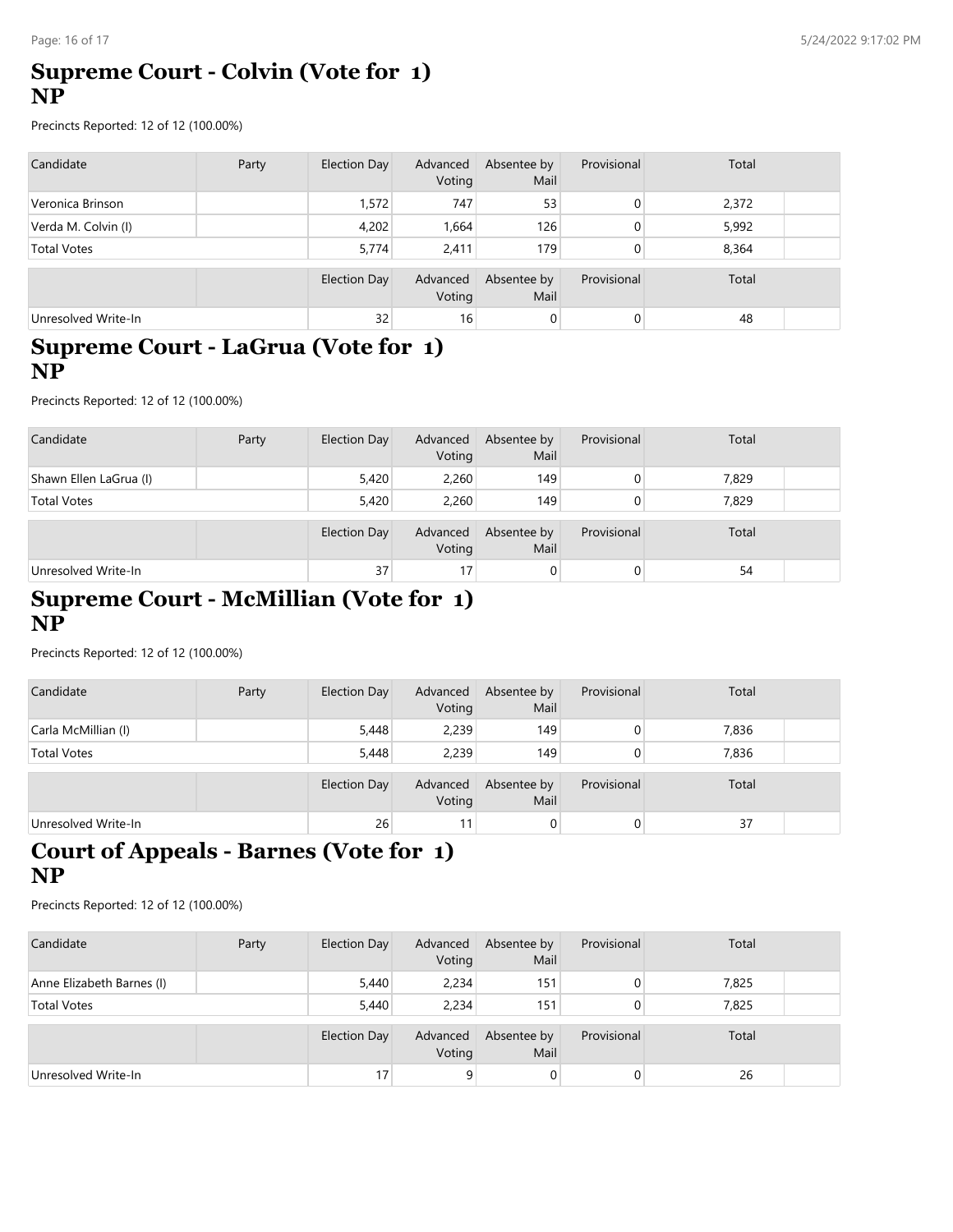#### **Supreme Court - Colvin (Vote for 1) NP**

Precincts Reported: 12 of 12 (100.00%)

| Candidate           | Party | Election Day | Advanced<br>Voting | Absentee by<br>Mail | Provisional | Total |  |
|---------------------|-------|--------------|--------------------|---------------------|-------------|-------|--|
| Veronica Brinson    |       | 1,572        | 747                | 53                  | 0           | 2,372 |  |
| Verda M. Colvin (I) |       | 4,202        | <b>664.</b>        | 126                 | 0           | 5,992 |  |
| <b>Total Votes</b>  |       | 5.774        | 2.411              | 179                 | 0           | 8,364 |  |
|                     |       | Election Day | Advanced<br>Voting | Absentee by<br>Mail | Provisional | Total |  |
| Unresolved Write-In |       | 32           | 16                 | $\mathbf 0$         | 0           | 48    |  |

#### **Supreme Court - LaGrua (Vote for 1) NP**

Precincts Reported: 12 of 12 (100.00%)

| Candidate              | Party | <b>Election Day</b> | Advanced<br>Voting | Absentee by<br>Mail | Provisional | Total |  |
|------------------------|-------|---------------------|--------------------|---------------------|-------------|-------|--|
| Shawn Ellen LaGrua (I) |       | 5,420               | 2,260              | 149                 | 0           | 7,829 |  |
| <b>Total Votes</b>     |       | 5,420               | 2.260              | 149                 | 0           | 7,829 |  |
|                        |       | Election Day        | Advanced<br>Voting | Absentee by<br>Mail | Provisional | Total |  |
| Unresolved Write-In    |       | 37                  | 17                 | 0                   | 0           | 54    |  |

#### **Supreme Court - McMillian (Vote for 1) NP**

Precincts Reported: 12 of 12 (100.00%)

| Candidate           | Party | Election Day | Advanced<br>Voting | Absentee by<br>Mail | Provisional | Total |  |
|---------------------|-------|--------------|--------------------|---------------------|-------------|-------|--|
| Carla McMillian (I) |       | 5,448        | 2,239              | 149                 |             | 7,836 |  |
| <b>Total Votes</b>  |       | 5,448        | 2.239              | 149                 |             | 7,836 |  |
|                     |       | Election Day | Advanced<br>Voting | Absentee by<br>Mail | Provisional | Total |  |
| Unresolved Write-In |       | 26           | 11                 | $\overline{0}$      | 0           | 37    |  |

# **Court of Appeals - Barnes (Vote for 1) NP**

| Candidate                 | Party | <b>Election Day</b> | Advanced<br>Voting | Absentee by<br>Mail | Provisional | Total |  |
|---------------------------|-------|---------------------|--------------------|---------------------|-------------|-------|--|
| Anne Elizabeth Barnes (I) |       | 5,440               | 2,234              | 151                 |             | 7,825 |  |
| <b>Total Votes</b>        |       | 5,440               | 2.234              | 151                 |             | 7,825 |  |
|                           |       | <b>Election Day</b> | Advanced<br>Voting | Absentee by<br>Mail | Provisional | Total |  |
| Unresolved Write-In       |       | 17                  | 9                  | 0                   |             | 26    |  |